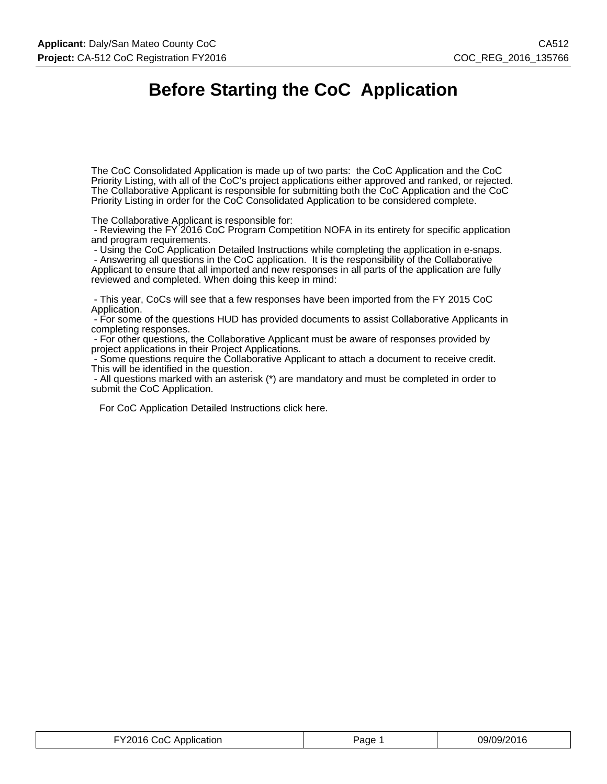# **Before Starting the CoC Application**

The CoC Consolidated Application is made up of two parts: the CoC Application and the CoC Priority Listing, with all of the CoC's project applications either approved and ranked, or rejected. The Collaborative Applicant is responsible for submitting both the CoC Application and the CoC Priority Listing in order for the CoC Consolidated Application to be considered complete.

The Collaborative Applicant is responsible for:

 - Reviewing the FY 2016 CoC Program Competition NOFA in its entirety for specific application and program requirements.

- Using the CoC Application Detailed Instructions while completing the application in e-snaps.

 - Answering all questions in the CoC application. It is the responsibility of the Collaborative Applicant to ensure that all imported and new responses in all parts of the application are fully reviewed and completed. When doing this keep in mind:

 - This year, CoCs will see that a few responses have been imported from the FY 2015 CoC Application.

 - For some of the questions HUD has provided documents to assist Collaborative Applicants in completing responses.

 - For other questions, the Collaborative Applicant must be aware of responses provided by project applications in their Project Applications.

 - Some questions require the Collaborative Applicant to attach a document to receive credit. This will be identified in the question.

 - All questions marked with an asterisk (\*) are mandatory and must be completed in order to submit the CoC Application.

For CoC Application Detailed Instructions click here.

| FY2016 CoC Application | Page | 09/09/2016 |
|------------------------|------|------------|
|------------------------|------|------------|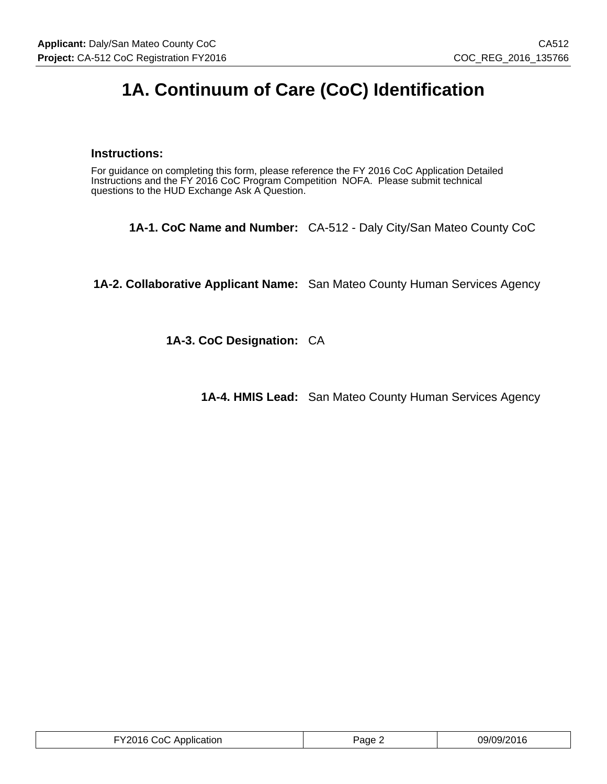# **1A. Continuum of Care (CoC) Identification**

## **Instructions:**

For guidance on completing this form, please reference the FY 2016 CoC Application Detailed Instructions and the FY 2016 CoC Program Competition NOFA. Please submit technical questions to the HUD Exchange Ask A Question.

**1A-1. CoC Name and Number:** CA-512 - Daly City/San Mateo County CoC

**1A-2. Collaborative Applicant Name:** San Mateo County Human Services Agency

**1A-3. CoC Designation:** CA

**1A-4. HMIS Lead:** San Mateo County Human Services Agency

| FY2016 CoC Application | $P$ age $\epsilon$ | 09/09/2016 |
|------------------------|--------------------|------------|
|------------------------|--------------------|------------|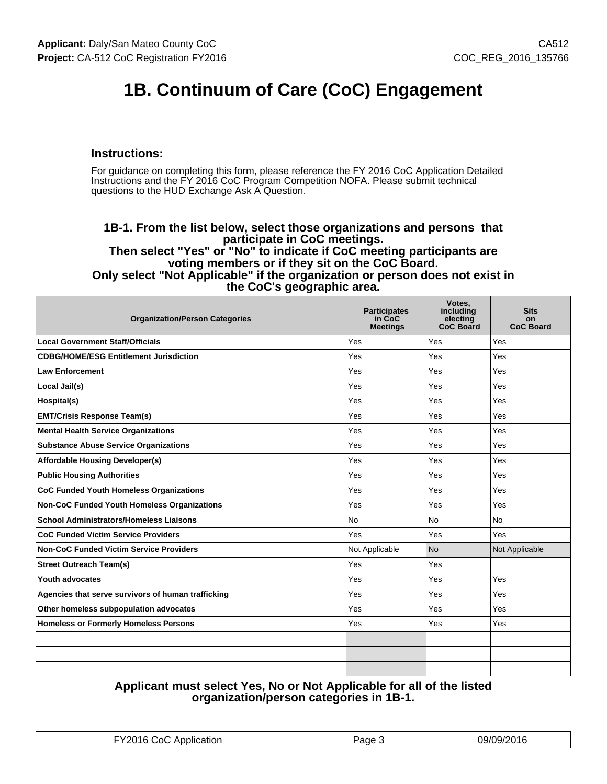# **1B. Continuum of Care (CoC) Engagement**

### **Instructions:**

For guidance on completing this form, please reference the FY 2016 CoC Application Detailed Instructions and the FY 2016 CoC Program Competition NOFA. Please submit technical questions to the HUD Exchange Ask A Question.

#### **1B-1. From the list below, select those organizations and persons that participate in CoC meetings. Then select "Yes" or "No" to indicate if CoC meeting participants are voting members or if they sit on the CoC Board. Only select "Not Applicable" if the organization or person does not exist in the CoC's geographic area.**

| <b>Organization/Person Categories</b>              | <b>Participates</b><br>in CoC<br><b>Meetings</b> | Votes,<br>including<br>electing<br><b>CoC Board</b> | <b>Sits</b><br>on<br><b>CoC Board</b> |
|----------------------------------------------------|--------------------------------------------------|-----------------------------------------------------|---------------------------------------|
| <b>Local Government Staff/Officials</b>            | Yes                                              | Yes                                                 | Yes                                   |
| <b>CDBG/HOME/ESG Entitlement Jurisdiction</b>      | Yes                                              | Yes                                                 | Yes                                   |
| <b>Law Enforcement</b>                             | Yes                                              | Yes                                                 | Yes                                   |
| Local Jail(s)                                      | Yes                                              | Yes                                                 | Yes                                   |
| Hospital(s)                                        | Yes                                              | Yes                                                 | Yes                                   |
| <b>EMT/Crisis Response Team(s)</b>                 | Yes                                              | Yes                                                 | Yes                                   |
| <b>Mental Health Service Organizations</b>         | Yes                                              | Yes                                                 | Yes                                   |
| <b>Substance Abuse Service Organizations</b>       | Yes                                              | Yes                                                 | Yes                                   |
| <b>Affordable Housing Developer(s)</b>             | Yes                                              | Yes                                                 | Yes                                   |
| <b>Public Housing Authorities</b>                  | Yes                                              | Yes                                                 | Yes                                   |
| <b>CoC Funded Youth Homeless Organizations</b>     | Yes                                              | Yes                                                 | Yes                                   |
| <b>Non-CoC Funded Youth Homeless Organizations</b> | Yes                                              | Yes                                                 | Yes                                   |
| <b>School Administrators/Homeless Liaisons</b>     | <b>No</b>                                        | <b>No</b>                                           | <b>No</b>                             |
| <b>CoC Funded Victim Service Providers</b>         | Yes                                              | Yes                                                 | Yes                                   |
| <b>Non-CoC Funded Victim Service Providers</b>     | Not Applicable                                   | <b>No</b>                                           | Not Applicable                        |
| <b>Street Outreach Team(s)</b>                     | Yes                                              | Yes                                                 |                                       |
| Youth advocates                                    | Yes                                              | Yes                                                 | Yes                                   |
| Agencies that serve survivors of human trafficking | Yes                                              | Yes                                                 | Yes                                   |
| Other homeless subpopulation advocates             | Yes                                              | Yes                                                 | Yes                                   |
| <b>Homeless or Formerly Homeless Persons</b>       | Yes                                              | Yes                                                 | Yes                                   |
|                                                    |                                                  |                                                     |                                       |
|                                                    |                                                  |                                                     |                                       |
|                                                    |                                                  |                                                     |                                       |

## **Applicant must select Yes, No or Not Applicable for all of the listed organization/person categories in 1B-1.**

| <b>EY2016 CoC Application</b> | Page J | 09/09/2016 |
|-------------------------------|--------|------------|
|-------------------------------|--------|------------|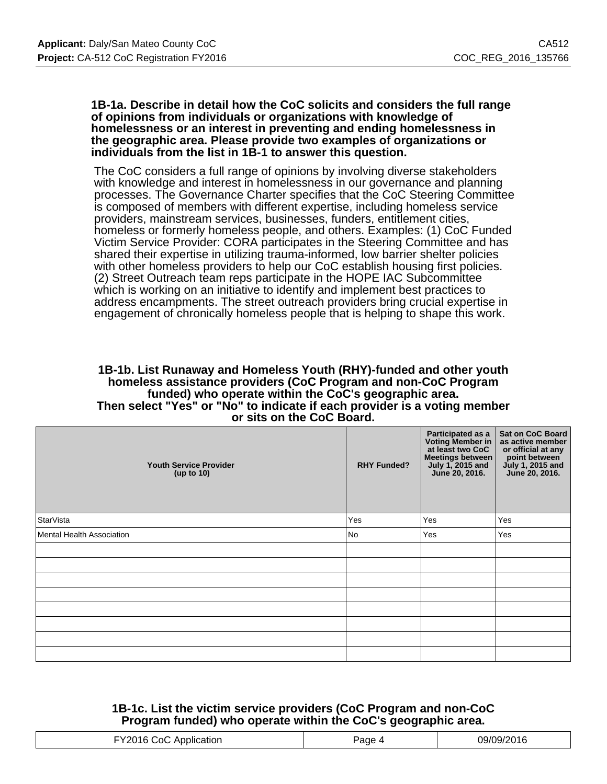#### **1B-1a. Describe in detail how the CoC solicits and considers the full range of opinions from individuals or organizations with knowledge of homelessness or an interest in preventing and ending homelessness in the geographic area. Please provide two examples of organizations or individuals from the list in 1B-1 to answer this question.**

The CoC considers a full range of opinions by involving diverse stakeholders with knowledge and interest in homelessness in our governance and planning processes. The Governance Charter specifies that the CoC Steering Committee is composed of members with different expertise, including homeless service providers, mainstream services, businesses, funders, entitlement cities, homeless or formerly homeless people, and others. Examples: (1) CoC Funded Victim Service Provider: CORA participates in the Steering Committee and has shared their expertise in utilizing trauma-informed, low barrier shelter policies with other homeless providers to help our CoC establish housing first policies. (2) Street Outreach team reps participate in the HOPE IAC Subcommittee which is working on an initiative to identify and implement best practices to address encampments. The street outreach providers bring crucial expertise in engagement of chronically homeless people that is helping to shape this work.

#### **1B-1b. List Runaway and Homeless Youth (RHY)-funded and other youth homeless assistance providers (CoC Program and non-CoC Program funded) who operate within the CoC's geographic area. Then select "Yes" or "No" to indicate if each provider is a voting member or sits on the CoC Board.**

| <b>Youth Service Provider</b><br>(up to $10$ ) | <b>RHY Funded?</b> | Participated as a<br>Voting Member in<br>at least two CoC<br>Meetings between<br>July 1, 2015 and<br>June 20, 2016. | <b>Sat on CoC Board</b><br>as active member<br>or official at any<br>point between<br>July 1, 2015 and<br>June 20, 2016. |
|------------------------------------------------|--------------------|---------------------------------------------------------------------------------------------------------------------|--------------------------------------------------------------------------------------------------------------------------|
| <b>StarVista</b>                               | Yes                | Yes                                                                                                                 | Yes                                                                                                                      |
| <b>Mental Health Association</b>               | No                 | Yes                                                                                                                 | Yes                                                                                                                      |
|                                                |                    |                                                                                                                     |                                                                                                                          |
|                                                |                    |                                                                                                                     |                                                                                                                          |
|                                                |                    |                                                                                                                     |                                                                                                                          |
|                                                |                    |                                                                                                                     |                                                                                                                          |
|                                                |                    |                                                                                                                     |                                                                                                                          |
|                                                |                    |                                                                                                                     |                                                                                                                          |
|                                                |                    |                                                                                                                     |                                                                                                                          |
|                                                |                    |                                                                                                                     |                                                                                                                          |

# **1B-1c. List the victim service providers (CoC Program and non-CoC Program funded) who operate within the CoC's geographic area.**

|  | . |
|--|---|
|  |   |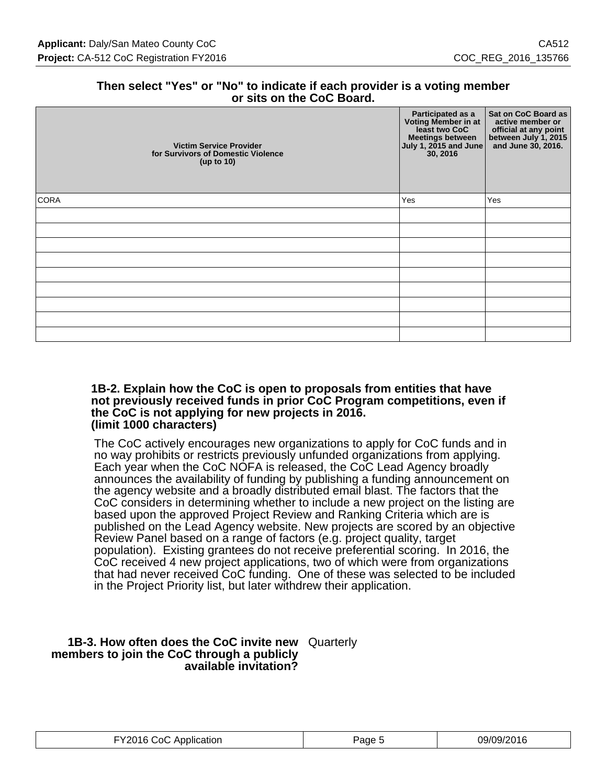### **Then select "Yes" or "No" to indicate if each provider is a voting member or sits on the CoC Board.**

| <b>Victim Service Provider</b><br>for Survivors of Domestic Violence<br>(up to 10) | Participated as a<br>Voting Member in at<br>least two CoC<br>Meetings between<br>July 1, 2015 and June<br>30, 2016 | Sat on CoC Board as<br>active member or<br>official at any point<br>between July 1, 2015<br>and June 30, 2016. |
|------------------------------------------------------------------------------------|--------------------------------------------------------------------------------------------------------------------|----------------------------------------------------------------------------------------------------------------|
| <b>CORA</b>                                                                        | Yes                                                                                                                | Yes                                                                                                            |
|                                                                                    |                                                                                                                    |                                                                                                                |
|                                                                                    |                                                                                                                    |                                                                                                                |
|                                                                                    |                                                                                                                    |                                                                                                                |
|                                                                                    |                                                                                                                    |                                                                                                                |
|                                                                                    |                                                                                                                    |                                                                                                                |
|                                                                                    |                                                                                                                    |                                                                                                                |
|                                                                                    |                                                                                                                    |                                                                                                                |
|                                                                                    |                                                                                                                    |                                                                                                                |
|                                                                                    |                                                                                                                    |                                                                                                                |

#### **1B-2. Explain how the CoC is open to proposals from entities that have not previously received funds in prior CoC Program competitions, even if the CoC is not applying for new projects in 2016. (limit 1000 characters)**

The CoC actively encourages new organizations to apply for CoC funds and in no way prohibits or restricts previously unfunded organizations from applying. Each year when the CoC NOFA is released, the CoC Lead Agency broadly announces the availability of funding by publishing a funding announcement on the agency website and a broadly distributed email blast. The factors that the CoC considers in determining whether to include a new project on the listing are based upon the approved Project Review and Ranking Criteria which are is published on the Lead Agency website. New projects are scored by an objective Review Panel based on a range of factors (e.g. project quality, target population). Existing grantees do not receive preferential scoring. In 2016, the CoC received 4 new project applications, two of which were from organizations that had never received CoC funding. One of these was selected to be included in the Project Priority list, but later withdrew their application.

#### **1B-3. How often does the CoC invite new** Quarterly **members to join the CoC through a publicly available invitation?**

| FY2016 CoC Application | Page : | 09/09/2016 |
|------------------------|--------|------------|
|------------------------|--------|------------|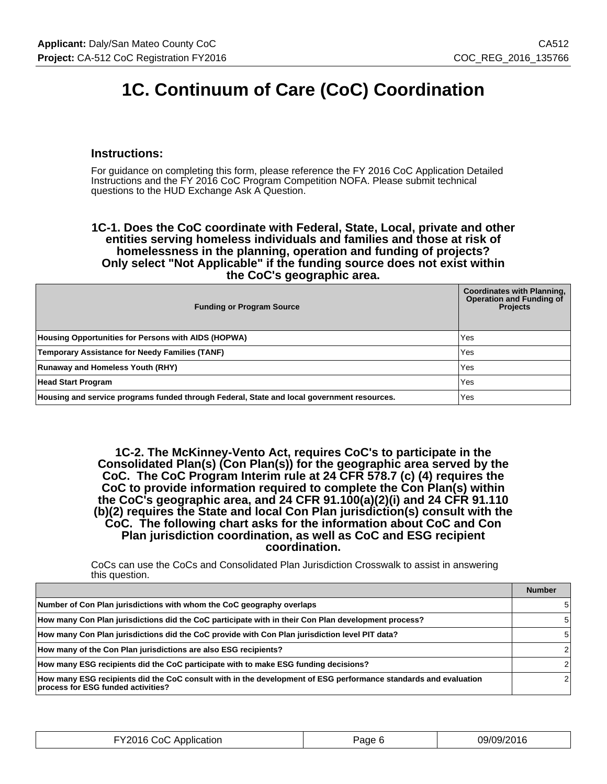# **1C. Continuum of Care (CoC) Coordination**

### **Instructions:**

For guidance on completing this form, please reference the FY 2016 CoC Application Detailed Instructions and the FY 2016 CoC Program Competition NOFA. Please submit technical questions to the HUD Exchange Ask A Question.

**1C-1. Does the CoC coordinate with Federal, State, Local, private and other entities serving homeless individuals and families and those at risk of homelessness in the planning, operation and funding of projects? Only select "Not Applicable" if the funding source does not exist within the CoC's geographic area.**

| <b>Funding or Program Source</b>                                                           | <b>Coordinates with Planning,</b><br><b>Operation and Funding of</b><br><b>Projects</b> |
|--------------------------------------------------------------------------------------------|-----------------------------------------------------------------------------------------|
| Housing Opportunities for Persons with AIDS (HOPWA)                                        | Yes                                                                                     |
| <b>Temporary Assistance for Needy Families (TANF)</b>                                      | Yes                                                                                     |
| <b>Runaway and Homeless Youth (RHY)</b>                                                    | Yes                                                                                     |
| <b>Head Start Program</b>                                                                  | Yes                                                                                     |
| Housing and service programs funded through Federal, State and local government resources. | Yes                                                                                     |

**1C-2. The McKinney-Vento Act, requires CoC's to participate in the Consolidated Plan(s) (Con Plan(s)) for the geographic area served by the CoC. The CoC Program Interim rule at 24 CFR 578.7 (c) (4) requires the CoC to provide information required to complete the Con Plan(s) within the CoC's geographic area, and 24 CFR 91.100(a)(2)(i) and 24 CFR 91.110 (b)(2) requires the State and local Con Plan jurisdiction(s) consult with the CoC. The following chart asks for the information about CoC and Con Plan jurisdiction coordination, as well as CoC and ESG recipient coordination.**

CoCs can use the CoCs and Consolidated Plan Jurisdiction Crosswalk to assist in answering this question.

|                                                                                                                                                       | <b>Number</b> |
|-------------------------------------------------------------------------------------------------------------------------------------------------------|---------------|
| Number of Con Plan jurisdictions with whom the CoC geography overlaps                                                                                 | 5.            |
| How many Con Plan jurisdictions did the CoC participate with in their Con Plan development process?                                                   | 5.            |
| How many Con Plan jurisdictions did the CoC provide with Con Plan jurisdiction level PIT data?                                                        | 5             |
| How many of the Con Plan jurisdictions are also ESG recipients?                                                                                       |               |
| How many ESG recipients did the CoC participate with to make ESG funding decisions?                                                                   |               |
| How many ESG recipients did the CoC consult with in the development of ESG performance standards and evaluation<br>process for ESG funded activities? |               |

| FY2016 CoC Application | Page 6 | 09/09/2016 |
|------------------------|--------|------------|
|------------------------|--------|------------|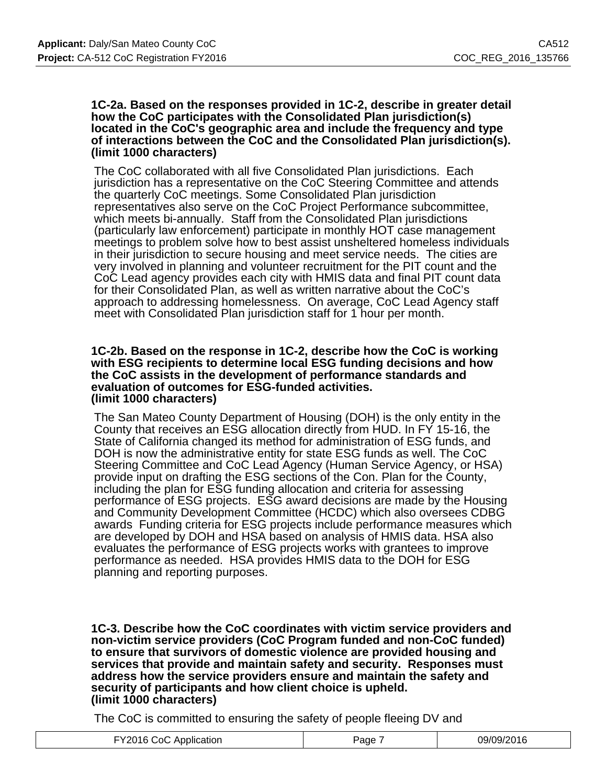#### **1C-2a. Based on the responses provided in 1C-2, describe in greater detail how the CoC participates with the Consolidated Plan jurisdiction(s) located in the CoC's geographic area and include the frequency and type of interactions between the CoC and the Consolidated Plan jurisdiction(s). (limit 1000 characters)**

The CoC collaborated with all five Consolidated Plan jurisdictions. Each jurisdiction has a representative on the CoC Steering Committee and attends the quarterly CoC meetings. Some Consolidated Plan jurisdiction representatives also serve on the CoC Project Performance subcommittee, which meets bi-annually. Staff from the Consolidated Plan jurisdictions (particularly law enforcement) participate in monthly HOT case management meetings to problem solve how to best assist unsheltered homeless individuals in their jurisdiction to secure housing and meet service needs. The cities are very involved in planning and volunteer recruitment for the PIT count and the CoC Lead agency provides each city with HMIS data and final PIT count data for their Consolidated Plan, as well as written narrative about the CoC's approach to addressing homelessness. On average, CoC Lead Agency staff meet with Consolidated Plan jurisdiction staff for 1 hour per month.

#### **1C-2b. Based on the response in 1C-2, describe how the CoC is working with ESG recipients to determine local ESG funding decisions and how the CoC assists in the development of performance standards and evaluation of outcomes for ESG-funded activities. (limit 1000 characters)**

The San Mateo County Department of Housing (DOH) is the only entity in the County that receives an ESG allocation directly from HUD. In FY 15-16, the State of California changed its method for administration of ESG funds, and DOH is now the administrative entity for state ESG funds as well. The CoC Steering Committee and CoC Lead Agency (Human Service Agency, or HSA) provide input on drafting the ESG sections of the Con. Plan for the County, including the plan for ESG funding allocation and criteria for assessing performance of ESG projects. ESG award decisions are made by the Housing and Community Development Committee (HCDC) which also oversees CDBG awards Funding criteria for ESG projects include performance measures which are developed by DOH and HSA based on analysis of HMIS data. HSA also evaluates the performance of ESG projects works with grantees to improve performance as needed. HSA provides HMIS data to the DOH for ESG planning and reporting purposes.

**1C-3. Describe how the CoC coordinates with victim service providers and non-victim service providers (CoC Program funded and non-CoC funded) to ensure that survivors of domestic violence are provided housing and services that provide and maintain safety and security. Responses must address how the service providers ensure and maintain the safety and security of participants and how client choice is upheld. (limit 1000 characters)**

The CoC is committed to ensuring the safety of people fleeing DV and

| $\overline{\phantom{a}}$<br>NQ/NQ/2N16<br>∵റ(<br>11L<br>≌aαe<br>lication<br>ADDIIC'<br>.<br>ำเร<br>.<br>. |
|-----------------------------------------------------------------------------------------------------------|
|-----------------------------------------------------------------------------------------------------------|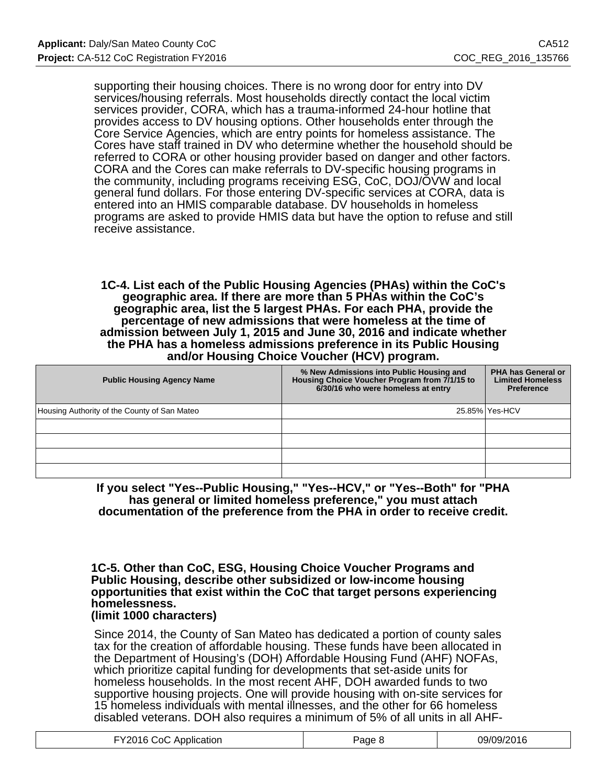supporting their housing choices. There is no wrong door for entry into DV services/housing referrals. Most households directly contact the local victim services provider, CORA, which has a trauma-informed 24-hour hotline that provides access to DV housing options. Other households enter through the Core Service Agencies, which are entry points for homeless assistance. The Cores have staff trained in DV who determine whether the household should be referred to CORA or other housing provider based on danger and other factors. CORA and the Cores can make referrals to DV-specific housing programs in the community, including programs receiving ESG, CoC, DOJ/OVW and local general fund dollars. For those entering DV-specific services at CORA, data is entered into an HMIS comparable database. DV households in homeless programs are asked to provide HMIS data but have the option to refuse and still receive assistance.

**1C-4. List each of the Public Housing Agencies (PHAs) within the CoC's geographic area. If there are more than 5 PHAs within the CoC's geographic area, list the 5 largest PHAs. For each PHA, provide the percentage of new admissions that were homeless at the time of admission between July 1, 2015 and June 30, 2016 and indicate whether the PHA has a homeless admissions preference in its Public Housing and/or Housing Choice Voucher (HCV) program.**

| <b>Public Housing Agency Name</b>            | % New Admissions into Public Housing and<br>Housing Choice Voucher Program from 7/1/15 to<br>6/30/16 who were homeless at entry | <b>PHA has General or</b><br><b>Limited Homeless</b><br><b>Preference</b> |
|----------------------------------------------|---------------------------------------------------------------------------------------------------------------------------------|---------------------------------------------------------------------------|
| Housing Authority of the County of San Mateo |                                                                                                                                 | 25.85% Yes-HCV                                                            |
|                                              |                                                                                                                                 |                                                                           |
|                                              |                                                                                                                                 |                                                                           |
|                                              |                                                                                                                                 |                                                                           |
|                                              |                                                                                                                                 |                                                                           |

**If you select "Yes--Public Housing," "Yes--HCV," or "Yes--Both" for "PHA has general or limited homeless preference," you must attach documentation of the preference from the PHA in order to receive credit.**

#### **1C-5. Other than CoC, ESG, Housing Choice Voucher Programs and Public Housing, describe other subsidized or low-income housing opportunities that exist within the CoC that target persons experiencing homelessness. (limit 1000 characters)**

Since 2014, the County of San Mateo has dedicated a portion of county sales tax for the creation of affordable housing. These funds have been allocated in the Department of Housing's (DOH) Affordable Housing Fund (AHF) NOFAs, which prioritize capital funding for developments that set-aside units for homeless households. In the most recent AHF, DOH awarded funds to two supportive housing projects. One will provide housing with on-site services for 15 homeless individuals with mental illnesses, and the other for 66 homeless disabled veterans. DOH also requires a minimum of 5% of all units in all AHF-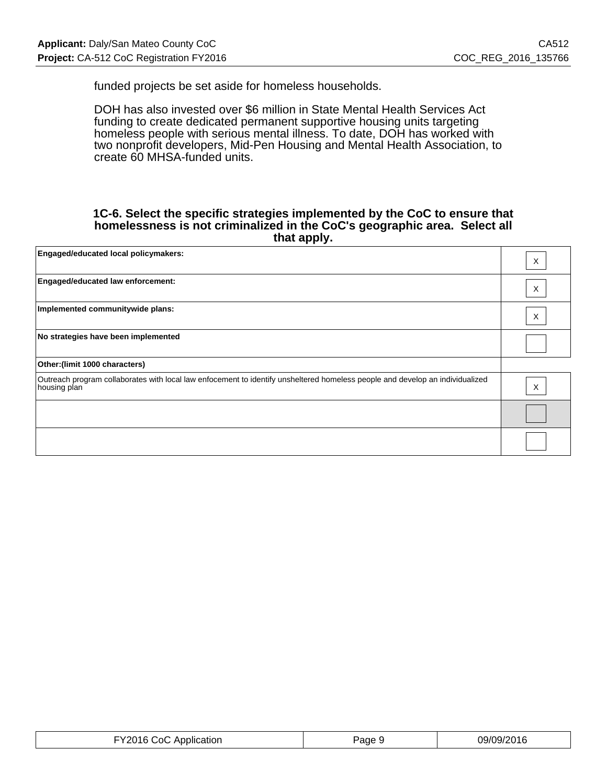funded projects be set aside for homeless households.

DOH has also invested over \$6 million in State Mental Health Services Act funding to create dedicated permanent supportive housing units targeting homeless people with serious mental illness. To date, DOH has worked with two nonprofit developers, Mid-Pen Housing and Mental Health Association, to create 60 MHSA-funded units.

#### **1C-6. Select the specific strategies implemented by the CoC to ensure that homelessness is not criminalized in the CoC's geographic area. Select all that apply.**

| Engaged/educated local policymakers:                                                                                                          | X |
|-----------------------------------------------------------------------------------------------------------------------------------------------|---|
| Engaged/educated law enforcement:                                                                                                             | Χ |
| Implemented communitywide plans:                                                                                                              | X |
| No strategies have been implemented                                                                                                           |   |
| Other: (limit 1000 characters)                                                                                                                |   |
| Outreach program collaborates with local law enfocement to identify unsheltered homeless people and develop an individualized<br>housing plan | X |
|                                                                                                                                               |   |
|                                                                                                                                               |   |

| FY2016 CoC Application | Page 9 | 09/09/2016 |
|------------------------|--------|------------|
|------------------------|--------|------------|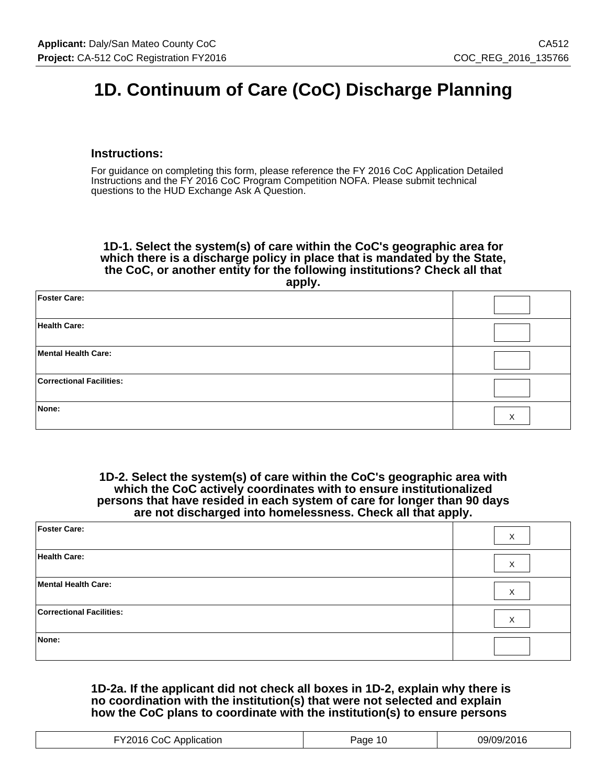# **1D. Continuum of Care (CoC) Discharge Planning**

### **Instructions:**

For guidance on completing this form, please reference the FY 2016 CoC Application Detailed Instructions and the FY 2016 CoC Program Competition NOFA. Please submit technical questions to the HUD Exchange Ask A Question.

**1D-1. Select the system(s) of care within the CoC's geographic area for which there is a discharge policy in place that is mandated by the State, the CoC, or another entity for the following institutions? Check all that apply.**

| <b>Foster Care:</b>             |   |
|---------------------------------|---|
| <b>Health Care:</b>             |   |
| Mental Health Care:             |   |
| <b>Correctional Facilities:</b> |   |
| None:                           | X |

**1D-2. Select the system(s) of care within the CoC's geographic area with which the CoC actively coordinates with to ensure institutionalized persons that have resided in each system of care for longer than 90 days are not discharged into homelessness. Check all that apply.**

| Foster Care:                    | $\times$ |
|---------------------------------|----------|
| Health Care:                    | X        |
| Mental Health Care:             | X        |
| <b>Correctional Facilities:</b> | X        |
| None:                           |          |

### **1D-2a. If the applicant did not check all boxes in 1D-2, explain why there is no coordination with the institution(s) that were not selected and explain how the CoC plans to coordinate with the institution(s) to ensure persons**

| ופר<br>1707<br>∴∩<br>Application<br>ane<br>.<br>. |  |
|---------------------------------------------------|--|
|---------------------------------------------------|--|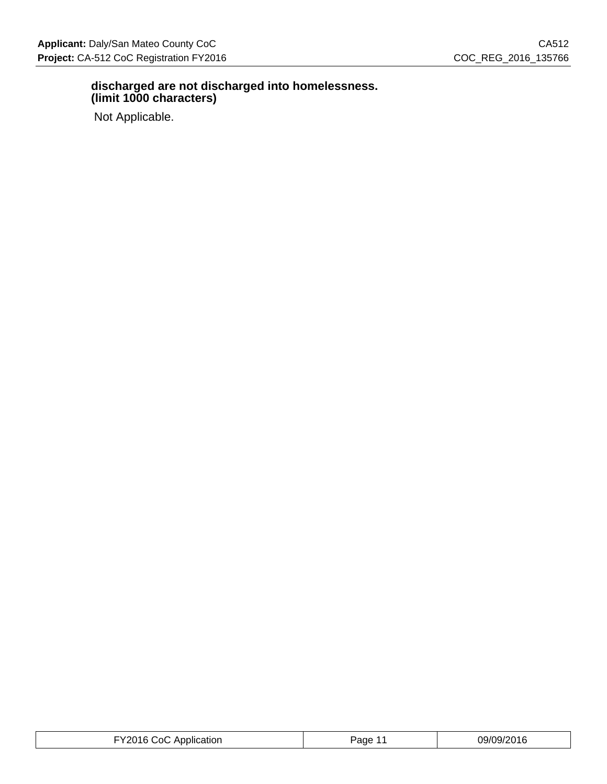### **discharged are not discharged into homelessness. (limit 1000 characters)**

Not Applicable.

| FY2016 CoC Application | Paɑe<br>. . | 09/09/2016 |
|------------------------|-------------|------------|
|------------------------|-------------|------------|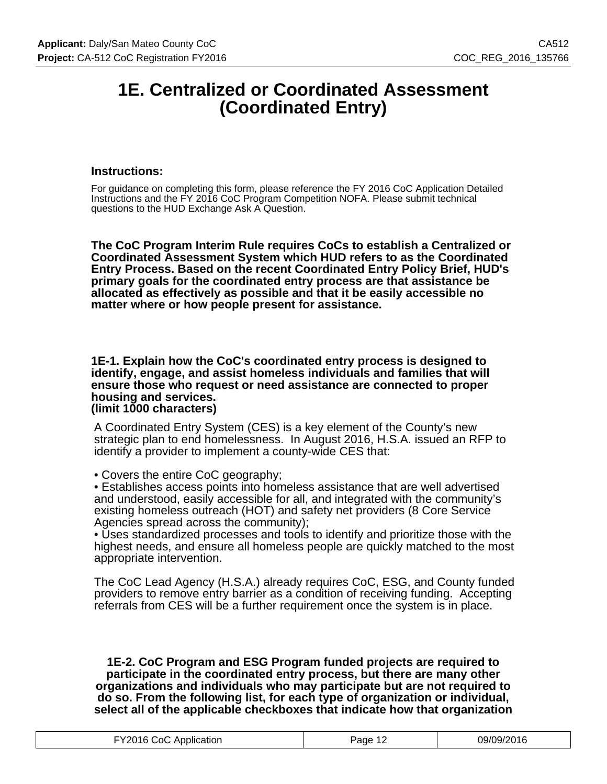# **1E. Centralized or Coordinated Assessment (Coordinated Entry)**

#### **Instructions:**

For guidance on completing this form, please reference the FY 2016 CoC Application Detailed Instructions and the FY 2016 CoC Program Competition NOFA. Please submit technical questions to the HUD Exchange Ask A Question.

**The CoC Program Interim Rule requires CoCs to establish a Centralized or Coordinated Assessment System which HUD refers to as the Coordinated Entry Process. Based on the recent Coordinated Entry Policy Brief, HUD's primary goals for the coordinated entry process are that assistance be allocated as effectively as possible and that it be easily accessible no matter where or how people present for assistance.**

**1E-1. Explain how the CoC's coordinated entry process is designed to identify, engage, and assist homeless individuals and families that will ensure those who request or need assistance are connected to proper housing and services. (limit 1000 characters)**

A Coordinated Entry System (CES) is a key element of the County's new strategic plan to end homelessness. In August 2016, H.S.A. issued an RFP to identify a provider to implement a county-wide CES that:

• Covers the entire CoC geography;

• Establishes access points into homeless assistance that are well advertised and understood, easily accessible for all, and integrated with the community's existing homeless outreach (HOT) and safety net providers (8 Core Service Agencies spread across the community);

• Uses standardized processes and tools to identify and prioritize those with the highest needs, and ensure all homeless people are quickly matched to the most appropriate intervention.

The CoC Lead Agency (H.S.A.) already requires CoC, ESG, and County funded providers to remove entry barrier as a condition of receiving funding. Accepting referrals from CES will be a further requirement once the system is in place.

**1E-2. CoC Program and ESG Program funded projects are required to participate in the coordinated entry process, but there are many other organizations and individuals who may participate but are not required to do so. From the following list, for each type of organization or individual, select all of the applicable checkboxes that indicate how that organization**

| FY2016 CoC Application | Page 1 <sup>o</sup> | 09/09/2016 |
|------------------------|---------------------|------------|
|------------------------|---------------------|------------|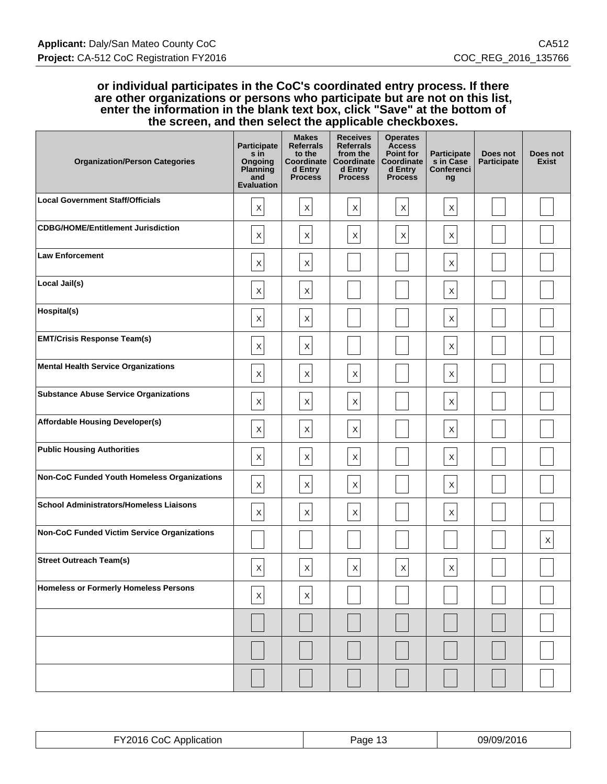#### **or individual participates in the CoC's coordinated entry process. If there are other organizations or persons who participate but are not on this list, enter the information in the blank text box, click "Save" at the bottom of the screen, and then select the applicable checkboxes.**

| <b>Organization/Person Categories</b>              | <b>Participate</b><br>s in<br>Ongoing<br>Planning<br>and<br><b>Evaluation</b> | <b>Makes</b><br><b>Referrals</b><br>to the<br>Coordinate<br>d Entry<br><b>Process</b> | <b>Receives</b><br><b>Referrals</b><br>from the<br>Coordinate<br>d Entry<br><b>Process</b> | <b>Operates</b><br><b>Access</b><br><b>Point for</b><br>Coordinate<br>d Entry<br><b>Process</b> | Participate<br>s in Case<br><b>Conferenci</b><br>ng | Does not<br>Participate | Does not<br><b>Exist</b> |
|----------------------------------------------------|-------------------------------------------------------------------------------|---------------------------------------------------------------------------------------|--------------------------------------------------------------------------------------------|-------------------------------------------------------------------------------------------------|-----------------------------------------------------|-------------------------|--------------------------|
| <b>Local Government Staff/Officials</b>            | $\mathsf X$                                                                   | $\mathsf X$                                                                           | $\boldsymbol{\mathsf{X}}$                                                                  | $\times$                                                                                        | X                                                   |                         |                          |
| <b>CDBG/HOME/Entitlement Jurisdiction</b>          | $\sf X$                                                                       | $\mathsf X$                                                                           | $\pmb{\times}$                                                                             | $\mathsf X$                                                                                     | X                                                   |                         |                          |
| <b>Law Enforcement</b>                             | $\mathsf X$                                                                   | $\mathsf X$                                                                           |                                                                                            |                                                                                                 | X                                                   |                         |                          |
| Local Jail(s)                                      | $\mathsf X$                                                                   | $\mathsf X$                                                                           |                                                                                            |                                                                                                 | $\boldsymbol{\mathsf{X}}$                           |                         |                          |
| Hospital(s)                                        | $\mathsf X$                                                                   | $\mathsf X$                                                                           |                                                                                            |                                                                                                 | X                                                   |                         |                          |
| <b>EMT/Crisis Response Team(s)</b>                 | $\mathsf X$                                                                   | $\mathsf X$                                                                           |                                                                                            |                                                                                                 | X                                                   |                         |                          |
| <b>Mental Health Service Organizations</b>         | $\mathsf X$                                                                   | $\mathsf X$                                                                           | $\mathsf X$                                                                                |                                                                                                 | $\boldsymbol{\mathsf{X}}$                           |                         |                          |
| <b>Substance Abuse Service Organizations</b>       | $\mathsf X$                                                                   | $\mathsf X$                                                                           | $\mathsf X$                                                                                |                                                                                                 | X                                                   |                         |                          |
| <b>Affordable Housing Developer(s)</b>             | $\mathsf X$                                                                   | $\boldsymbol{\mathsf{X}}$                                                             | X                                                                                          |                                                                                                 | X                                                   |                         |                          |
| <b>Public Housing Authorities</b>                  | $\mathsf X$                                                                   | $\mathsf X$                                                                           | $\mathsf X$                                                                                |                                                                                                 | $\boldsymbol{\mathsf{X}}$                           |                         |                          |
| Non-CoC Funded Youth Homeless Organizations        | $\mathsf X$                                                                   | $\mathsf X$                                                                           | $\mathsf X$                                                                                |                                                                                                 | X                                                   |                         |                          |
| <b>School Administrators/Homeless Liaisons</b>     | $\mathsf X$                                                                   | $\boldsymbol{\mathsf{X}}$                                                             | X                                                                                          |                                                                                                 | $\boldsymbol{\mathsf{X}}$                           |                         |                          |
| <b>Non-CoC Funded Victim Service Organizations</b> |                                                                               |                                                                                       |                                                                                            |                                                                                                 |                                                     |                         | $\mathsf X$              |
| <b>Street Outreach Team(s)</b>                     | X                                                                             | X                                                                                     | X                                                                                          | X                                                                                               | X                                                   |                         |                          |
| <b>Homeless or Formerly Homeless Persons</b>       | $\mathsf X$                                                                   | $\boldsymbol{\mathsf{X}}$                                                             |                                                                                            |                                                                                                 |                                                     |                         |                          |
|                                                    |                                                                               |                                                                                       |                                                                                            |                                                                                                 |                                                     |                         |                          |
|                                                    |                                                                               |                                                                                       |                                                                                            |                                                                                                 |                                                     |                         |                          |
|                                                    |                                                                               |                                                                                       |                                                                                            |                                                                                                 |                                                     |                         |                          |

| .<br>. | ane | 'N<br>116 |
|--------|-----|-----------|
|        |     |           |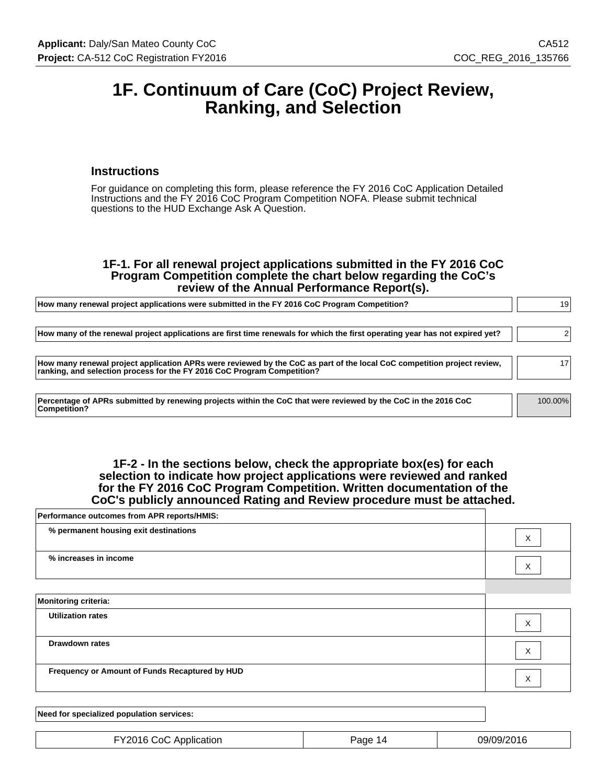# **1F. Continuum of Care (CoC) Project Review, Ranking, and Selection**

#### **Instructions**

For guidance on completing this form, please reference the FY 2016 CoC Application Detailed Instructions and the FY 2016 CoC Program Competition NOFA. Please submit technical questions to the HUD Exchange Ask A Question.

#### **1F-1. For all renewal project applications submitted in the FY 2016 CoC Program Competition complete the chart below regarding the CoC's review of the Annual Performance Report(s).**

| How many renewal project applications were submitted in the FY 2016 CoC Program Competition?                                                                                                       |         |  |  |
|----------------------------------------------------------------------------------------------------------------------------------------------------------------------------------------------------|---------|--|--|
| How many of the renewal project applications are first time renewals for which the first operating year has not expired yet?                                                                       |         |  |  |
| How many renewal project application APRs were reviewed by the CoC as part of the local CoC competition project review,<br>ranking, and selection process for the FY 2016 CoC Program Competition? | 17      |  |  |
| Percentage of APRs submitted by renewing projects within the CoC that were reviewed by the CoC in the 2016 CoC<br>Competition?                                                                     | 100.00% |  |  |

#### **1F-2 - In the sections below, check the appropriate box(es) for each selection to indicate how project applications were reviewed and ranked for the FY 2016 CoC Program Competition. Written documentation of the CoC's publicly announced Rating and Review procedure must be attached.**

| Performance outcomes from APR reports/HMIS:    |   |
|------------------------------------------------|---|
| % permanent housing exit destinations          | Χ |
| % increases in income                          | Χ |
|                                                |   |
| <b>Monitoring criteria:</b>                    |   |
| <b>Utilization rates</b>                       | X |
| <b>Drawdown rates</b>                          | X |
| Frequency or Amount of Funds Recaptured by HUD | X |
|                                                |   |

| Need for specialized population services: |         |            |
|-------------------------------------------|---------|------------|
|                                           |         |            |
| FY2016 CoC Application                    | Page 14 | 09/09/2016 |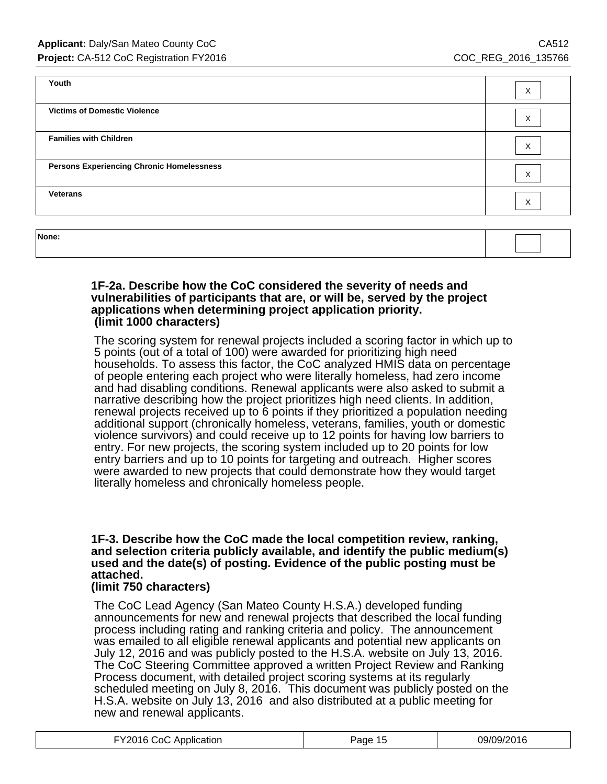| Youth                                            | X                 |
|--------------------------------------------------|-------------------|
| <b>Victims of Domestic Violence</b>              | X                 |
| <b>Families with Children</b>                    | $\checkmark$<br>⋏ |
| <b>Persons Experiencing Chronic Homelessness</b> | X                 |
| <b>Veterans</b>                                  | X                 |
|                                                  |                   |

| None: |  |
|-------|--|
|       |  |

#### **1F-2a. Describe how the CoC considered the severity of needs and vulnerabilities of participants that are, or will be, served by the project applications when determining project application priority. (limit 1000 characters)**

The scoring system for renewal projects included a scoring factor in which up to 5 points (out of a total of 100) were awarded for prioritizing high need households. To assess this factor, the CoC analyzed HMIS data on percentage of people entering each project who were literally homeless, had zero income and had disabling conditions. Renewal applicants were also asked to submit a narrative describing how the project prioritizes high need clients. In addition, renewal projects received up to 6 points if they prioritized a population needing additional support (chronically homeless, veterans, families, youth or domestic violence survivors) and could receive up to 12 points for having low barriers to entry. For new projects, the scoring system included up to 20 points for low entry barriers and up to 10 points for targeting and outreach. Higher scores were awarded to new projects that could demonstrate how they would target literally homeless and chronically homeless people.

## **1F-3. Describe how the CoC made the local competition review, ranking, and selection criteria publicly available, and identify the public medium(s) used and the date(s) of posting. Evidence of the public posting must be attached.**

## **(limit 750 characters)**

The CoC Lead Agency (San Mateo County H.S.A.) developed funding announcements for new and renewal projects that described the local funding process including rating and ranking criteria and policy. The announcement was emailed to all eligible renewal applicants and potential new applicants on July 12, 2016 and was publicly posted to the H.S.A. website on July 13, 2016. The CoC Steering Committee approved a written Project Review and Ranking Process document, with detailed project scoring systems at its regularly scheduled meeting on July 8, 2016. This document was publicly posted on the H.S.A. website on July 13, 2016 and also distributed at a public meeting for new and renewal applicants.

| FY2016 CoC Application | Page 15 | 09/09/2016 |
|------------------------|---------|------------|
|------------------------|---------|------------|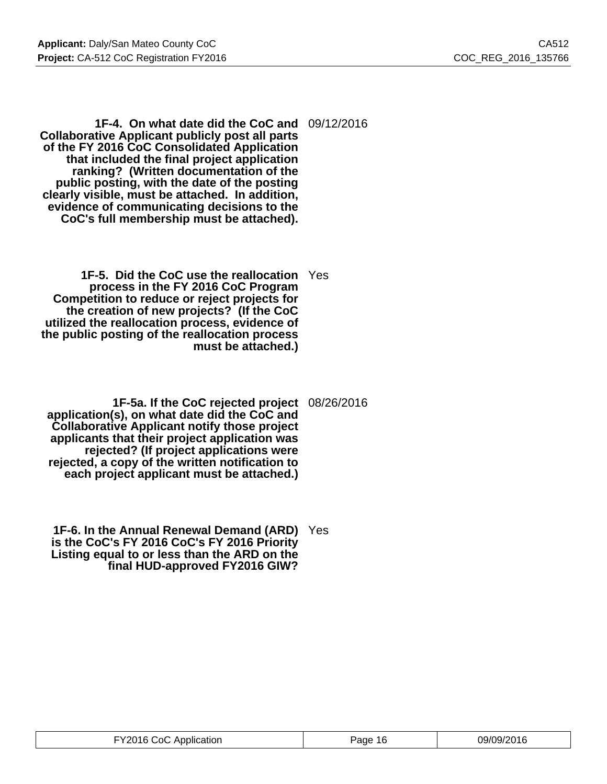**1F-4. On what date did the CoC and** 09/12/2016 **Collaborative Applicant publicly post all parts of the FY 2016 CoC Consolidated Application that included the final project application ranking? (Written documentation of the public posting, with the date of the posting clearly visible, must be attached. In addition, evidence of communicating decisions to the CoC's full membership must be attached).**

- **1F-5. Did the CoC use the reallocation** Yes **process in the FY 2016 CoC Program Competition to reduce or reject projects for the creation of new projects? (If the CoC utilized the reallocation process, evidence of the public posting of the reallocation process must be attached.)**
- **1F-5a. If the CoC rejected project** 08/26/2016 **application(s), on what date did the CoC and Collaborative Applicant notify those project applicants that their project application was rejected? (If project applications were rejected, a copy of the written notification to each project applicant must be attached.)**
- **1F-6. In the Annual Renewal Demand (ARD)** Yes **is the CoC's FY 2016 CoC's FY 2016 Priority Listing equal to or less than the ARD on the final HUD-approved FY2016 GIW?**

| FY2016 CoC Application | Page 16 | 09/09/2016 |
|------------------------|---------|------------|
|------------------------|---------|------------|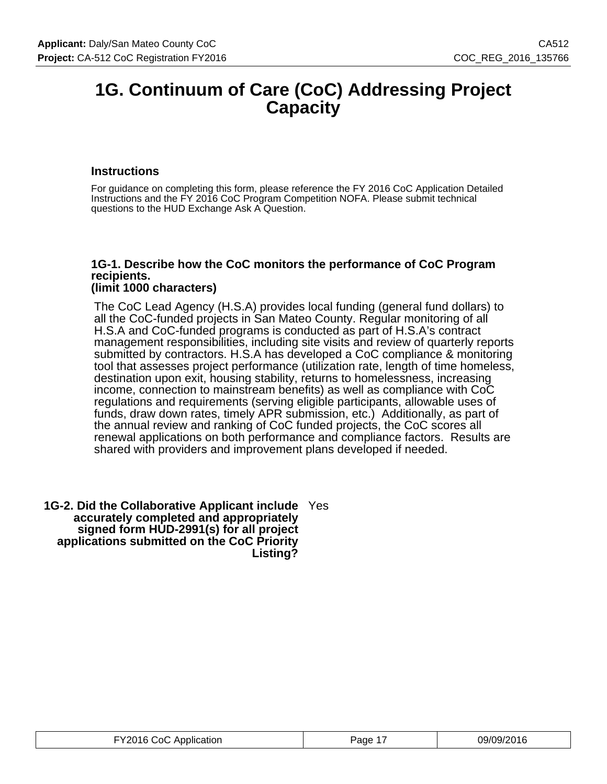# **1G. Continuum of Care (CoC) Addressing Project Capacity**

## **Instructions**

For guidance on completing this form, please reference the FY 2016 CoC Application Detailed Instructions and the FY 2016 CoC Program Competition NOFA. Please submit technical questions to the HUD Exchange Ask A Question.

#### **1G-1. Describe how the CoC monitors the performance of CoC Program recipients. (limit 1000 characters)**

The CoC Lead Agency (H.S.A) provides local funding (general fund dollars) to all the CoC-funded projects in San Mateo County. Regular monitoring of all H.S.A and CoC-funded programs is conducted as part of H.S.A's contract management responsibilities, including site visits and review of quarterly reports submitted by contractors. H.S.A has developed a CoC compliance & monitoring tool that assesses project performance (utilization rate, length of time homeless, destination upon exit, housing stability, returns to homelessness, increasing income, connection to mainstream benefits) as well as compliance with CoC regulations and requirements (serving eligible participants, allowable uses of funds, draw down rates, timely APR submission, etc.) Additionally, as part of the annual review and ranking of CoC funded projects, the CoC scores all renewal applications on both performance and compliance factors. Results are shared with providers and improvement plans developed if needed.

**1G-2. Did the Collaborative Applicant include** Yes **accurately completed and appropriately signed form HUD-2991(s) for all project applications submitted on the CoC Priority Listing?**

| FY2016 CoC Application | Page 1 | 09/09/2016 |
|------------------------|--------|------------|
|------------------------|--------|------------|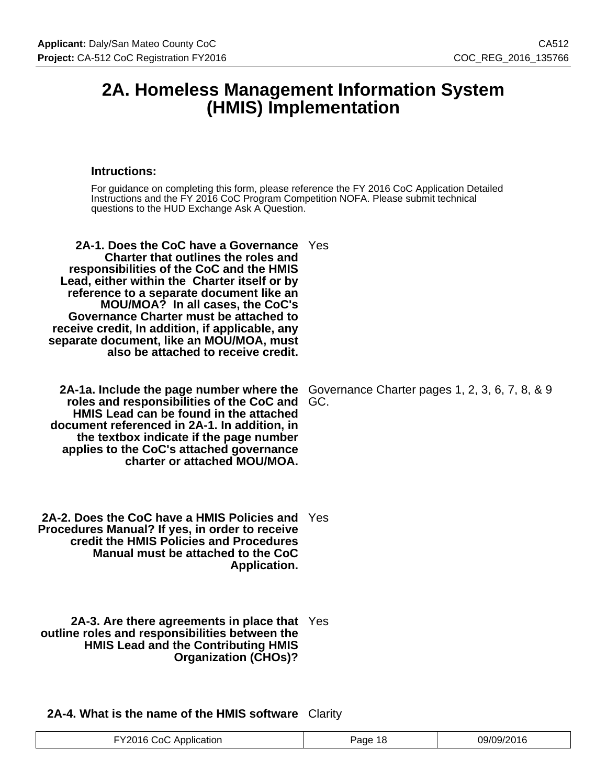# **2A. Homeless Management Information System (HMIS) Implementation**

### **Intructions:**

| For guidance on completing this form, please reference the FY 2016 CoC Application Detailed<br>Instructions and the FY 2016 CoC Program Competition NOFA. Please submit technical<br>questions to the HUD Exchange Ask A Question.                                                                                                                                                                                                                 |                                                       |
|----------------------------------------------------------------------------------------------------------------------------------------------------------------------------------------------------------------------------------------------------------------------------------------------------------------------------------------------------------------------------------------------------------------------------------------------------|-------------------------------------------------------|
| 2A-1. Does the CoC have a Governance Yes<br><b>Charter that outlines the roles and</b><br>responsibilities of the CoC and the HMIS<br>Lead, either within the Charter itself or by<br>reference to a separate document like an<br>MOU/MOA? In all cases, the CoC's<br>Governance Charter must be attached to<br>receive credit, In addition, if applicable, any<br>separate document, like an MOU/MOA, must<br>also be attached to receive credit. |                                                       |
| 2A-1a. Include the page number where the<br>roles and responsibilities of the CoC and<br>HMIS Lead can be found in the attached<br>document referenced in 2A-1. In addition, in<br>the textbox indicate if the page number<br>applies to the CoC's attached governance<br>charter or attached MOU/MOA.                                                                                                                                             | Governance Charter pages 1, 2, 3, 6, 7, 8, & 9<br>GC. |
| 2A-2. Does the CoC have a HMIS Policies and<br>Procedures Manual? If yes, in order to receive<br>credit the HMIS Policies and Procedures<br>Manual must be attached to the CoC<br>Application.                                                                                                                                                                                                                                                     | Yes                                                   |
| 2A-3. Are there agreements in place that Yes<br>outline roles and responsibilities between the<br><b>HMIS Lead and the Contributing HMIS</b><br><b>Organization (CHOs)?</b>                                                                                                                                                                                                                                                                        |                                                       |

# **2A-4. What is the name of the HMIS software** Clarity

| ገር<br>പ<br>cation<br>വഥ<br>. ۱۳<br>-<br>. <del>. .</del><br>. <del>.</del><br>. |  |  |  |
|---------------------------------------------------------------------------------|--|--|--|
|---------------------------------------------------------------------------------|--|--|--|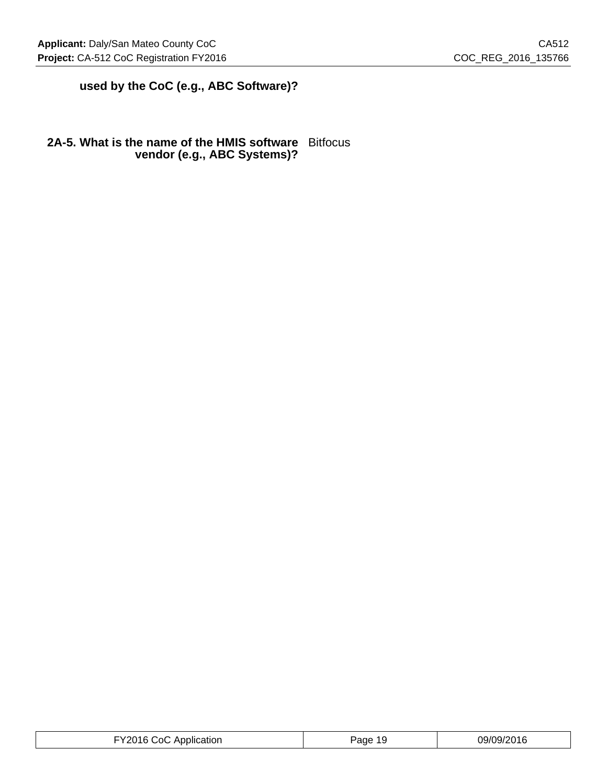# **used by the CoC (e.g., ABC Software)?**

## **2A-5. What is the name of the HMIS software** Bitfocus **vendor (e.g., ABC Systems)?**

| 09/09/2016<br>ו∩.<br>Application<br>ane<br>. .<br>.<br>.<br>. |
|---------------------------------------------------------------|
|---------------------------------------------------------------|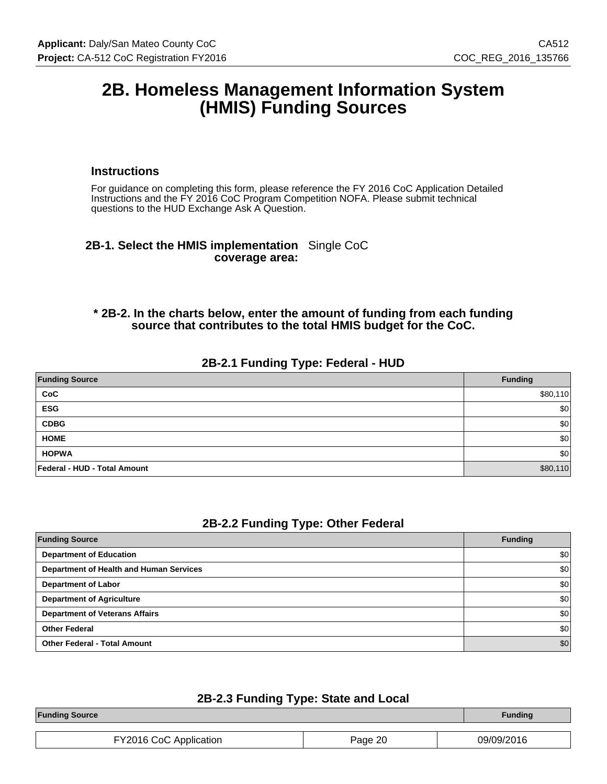# **2B. Homeless Management Information System (HMIS) Funding Sources**

#### **Instructions**

For guidance on completing this form, please reference the FY 2016 CoC Application Detailed Instructions and the FY 2016 CoC Program Competition NOFA. Please submit technical questions to the HUD Exchange Ask A Question.

### **2B-1. Select the HMIS implementation** Single CoC **coverage area:**

### **\* 2B-2. In the charts below, enter the amount of funding from each funding source that contributes to the total HMIS budget for the CoC.**

### **2B-2.1 Funding Type: Federal - HUD**

| <b>Funding Source</b>        | <b>Funding</b> |
|------------------------------|----------------|
| CoC                          | \$80,110       |
| <b>ESG</b>                   | \$0            |
| <b>CDBG</b>                  | \$0            |
| <b>HOME</b>                  | \$0            |
| <b>HOPWA</b>                 | \$0            |
| Federal - HUD - Total Amount | \$80,110       |

#### **2B-2.2 Funding Type: Other Federal**

| <b>Funding Source</b>                   | <b>Funding</b>   |
|-----------------------------------------|------------------|
| <b>Department of Education</b>          | \$0              |
| Department of Health and Human Services | \$0              |
| <b>Department of Labor</b>              | \$0              |
| <b>Department of Agriculture</b>        | \$0              |
| <b>Department of Veterans Affairs</b>   | \$0 <sub>1</sub> |
| <b>Other Federal</b>                    | \$0              |
| <b>Other Federal - Total Amount</b>     | \$0              |

## **2B-2.3 Funding Type: State and Local**

|         | <b>Funding</b> |
|---------|----------------|
| Page 20 | 09/09/2016     |
|         |                |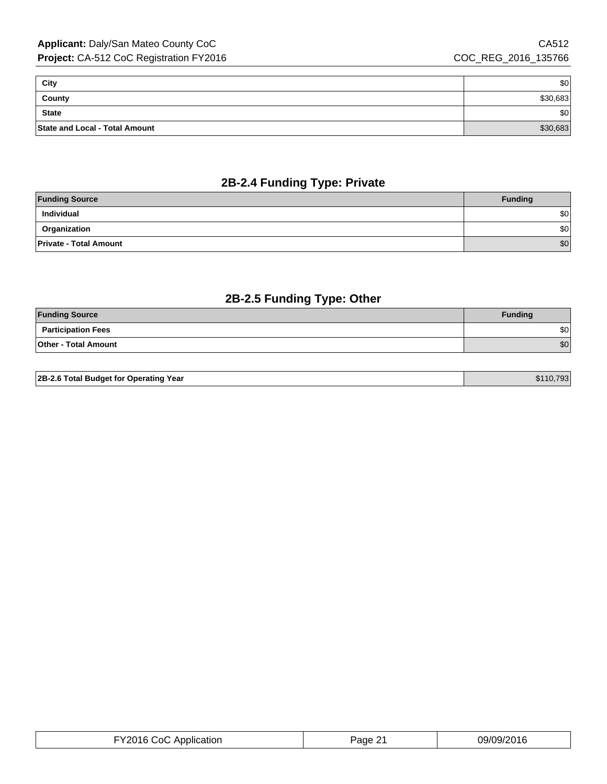| City                           | \$0      |
|--------------------------------|----------|
| County                         | \$30,683 |
| <b>State</b>                   | ا 30     |
| State and Local - Total Amount | \$30,683 |

# **2B-2.4 Funding Type: Private**

| <b>Funding Source</b>         | <b>Funding</b> |
|-------------------------------|----------------|
| Individual                    | \$0            |
| Organization                  | \$0            |
| <b>Private - Total Amount</b> | \$0            |

# **2B-2.5 Funding Type: Other**

| <b>Funding Source</b>       | <b>Funding</b> |
|-----------------------------|----------------|
| <b>Participation Fees</b>   | \$0            |
| <b>Other - Total Amount</b> | \$0            |

| 2B-2.6 Total Budget for Operating Year | \$110.7931 |
|----------------------------------------|------------|

| FY2016 CoC Application | Page 21 | 09/09/2016 |
|------------------------|---------|------------|
|------------------------|---------|------------|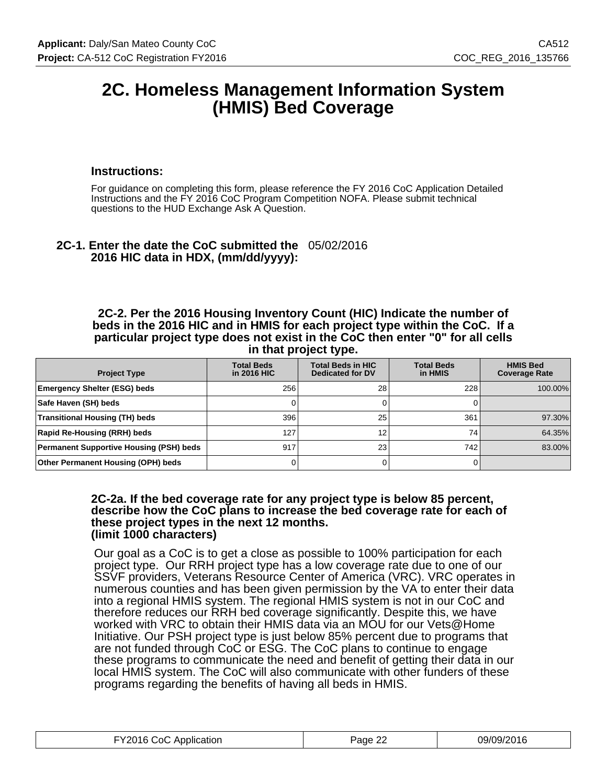# **2C. Homeless Management Information System (HMIS) Bed Coverage**

#### **Instructions:**

For guidance on completing this form, please reference the FY 2016 CoC Application Detailed Instructions and the FY 2016 CoC Program Competition NOFA. Please submit technical questions to the HUD Exchange Ask A Question.

# **2C-1. Enter the date the CoC submitted the** 05/02/2016 **2016 HIC data in HDX, (mm/dd/yyyy):**

**2C-2. Per the 2016 Housing Inventory Count (HIC) Indicate the number of beds in the 2016 HIC and in HMIS for each project type within the CoC. If a particular project type does not exist in the CoC then enter "0" for all cells in that project type.**

| <b>Project Type</b>                            | <b>Total Beds</b><br>in 2016 HIC | <b>Total Beds in HIC</b><br>Dedicated for DV | <b>Total Beds</b><br>in HMIS | <b>HMIS Bed</b><br><b>Coverage Rate</b> |
|------------------------------------------------|----------------------------------|----------------------------------------------|------------------------------|-----------------------------------------|
| <b>Emergency Shelter (ESG) beds</b>            | 256                              | 28                                           | 228                          | 100.00%                                 |
| Safe Haven (SH) beds                           |                                  |                                              |                              |                                         |
| <b>Transitional Housing (TH) beds</b>          | 396                              | 25                                           | 361                          | 97.30%                                  |
| <b>Rapid Re-Housing (RRH) beds</b>             | 127                              | 12                                           | 74                           | 64.35%                                  |
| <b>Permanent Supportive Housing (PSH) beds</b> | 917                              | 23                                           | 742                          | 83.00%                                  |
| Other Permanent Housing (OPH) beds             |                                  |                                              |                              |                                         |

#### **2C-2a. If the bed coverage rate for any project type is below 85 percent, describe how the CoC plans to increase the bed coverage rate for each of these project types in the next 12 months. (limit 1000 characters)**

Our goal as a CoC is to get a close as possible to 100% participation for each project type. Our RRH project type has a low coverage rate due to one of our SSVF providers, Veterans Resource Center of America (VRC). VRC operates in numerous counties and has been given permission by the VA to enter their data into a regional HMIS system. The regional HMIS system is not in our CoC and therefore reduces our RRH bed coverage significantly. Despite this, we have worked with VRC to obtain their HMIS data via an MOU for our Vets@Home Initiative. Our PSH project type is just below 85% percent due to programs that are not funded through CoC or ESG. The CoC plans to continue to engage these programs to communicate the need and benefit of getting their data in our local HMIS system. The CoC will also communicate with other funders of these programs regarding the benefits of having all beds in HMIS.

| FY2016 CoC Application | Page 22 | 09/09/2016 |
|------------------------|---------|------------|
|------------------------|---------|------------|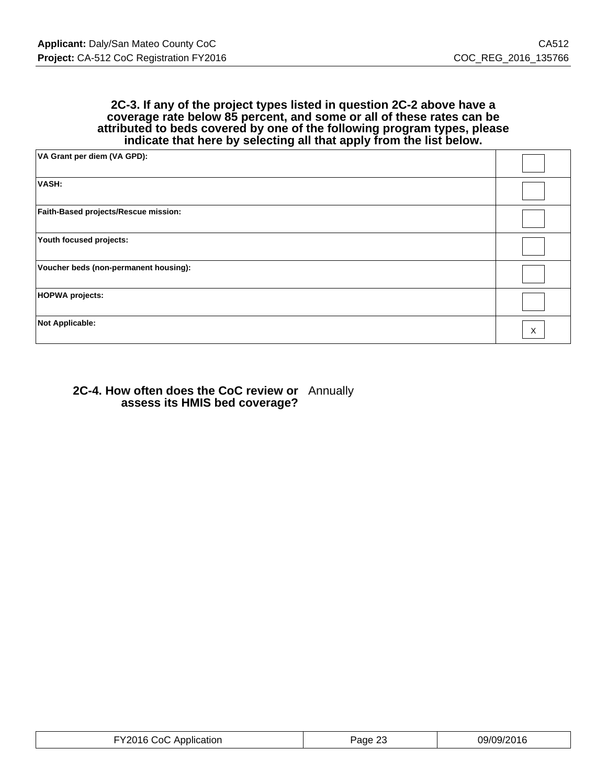#### **2C-3. If any of the project types listed in question 2C-2 above have a coverage rate below 85 percent, and some or all of these rates can be attributed to beds covered by one of the following program types, please indicate that here by selecting all that apply from the list below.**

| VA Grant per diem (VA GPD):           |   |
|---------------------------------------|---|
| VASH:                                 |   |
| Faith-Based projects/Rescue mission:  |   |
| Youth focused projects:               |   |
| Voucher beds (non-permanent housing): |   |
| <b>HOPWA projects:</b>                |   |
| <b>Not Applicable:</b>                | X |

#### **2C-4. How often does the CoC review or assess its HMIS bed coverage?** Annually

| FY2016 CoC Application | $\sim$<br>Page 25 | 09/09/2016 |
|------------------------|-------------------|------------|
|------------------------|-------------------|------------|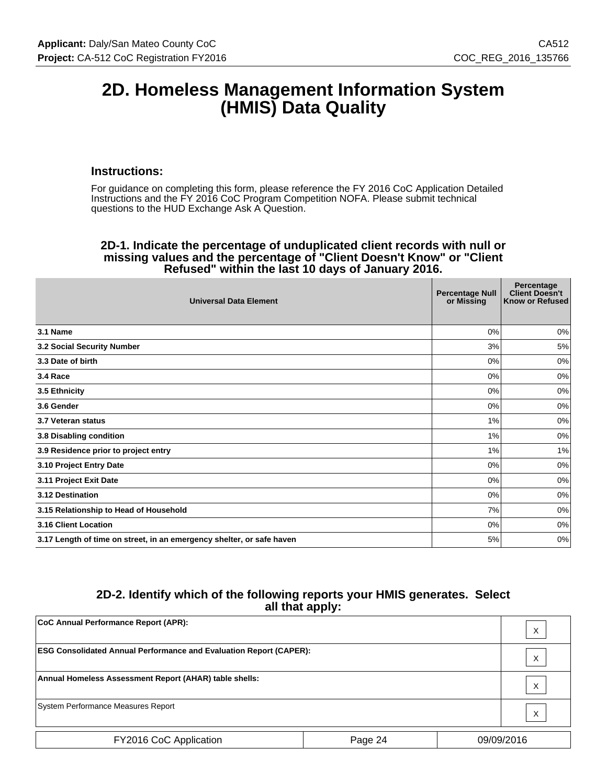# **2D. Homeless Management Information System (HMIS) Data Quality**

#### **Instructions:**

For guidance on completing this form, please reference the FY 2016 CoC Application Detailed Instructions and the FY 2016 CoC Program Competition NOFA. Please submit technical questions to the HUD Exchange Ask A Question.

#### **2D-1. Indicate the percentage of unduplicated client records with null or missing values and the percentage of "Client Doesn't Know" or "Client Refused" within the last 10 days of January 2016.**

| <b>Universal Data Element</b>                                         | <b>Percentage Null</b><br>or Missing | Percentage<br><b>Client Doesn't</b><br>Know or Refused |
|-----------------------------------------------------------------------|--------------------------------------|--------------------------------------------------------|
| 3.1 Name                                                              | 0%                                   | 0%                                                     |
| 3.2 Social Security Number                                            | 3%                                   | 5%                                                     |
| 3.3 Date of birth                                                     | 0%                                   | 0%                                                     |
| 3.4 Race                                                              | 0%                                   | 0%                                                     |
| 3.5 Ethnicity                                                         | 0%                                   | 0%                                                     |
| 3.6 Gender                                                            | 0%                                   | 0%                                                     |
| 3.7 Veteran status                                                    | 1%                                   | 0%                                                     |
| 3.8 Disabling condition                                               | 1%                                   | 0%                                                     |
| 3.9 Residence prior to project entry                                  | 1%                                   | 1%                                                     |
| 3.10 Project Entry Date                                               | 0%                                   | 0%                                                     |
| 3.11 Project Exit Date                                                | 0%                                   | 0%                                                     |
| 3.12 Destination                                                      | 0%                                   | 0%                                                     |
| 3.15 Relationship to Head of Household                                | 7%                                   | 0%                                                     |
| 3.16 Client Location                                                  | 0%                                   | 0%                                                     |
| 3.17 Length of time on street, in an emergency shelter, or safe haven | 5%                                   | 0%                                                     |

# **2D-2. Identify which of the following reports your HMIS generates. Select all that apply:**

| CoC Annual Performance Report (APR):                                      |         |  | X          |
|---------------------------------------------------------------------------|---------|--|------------|
| <b>ESG Consolidated Annual Performance and Evaluation Report (CAPER):</b> |         |  | X          |
| Annual Homeless Assessment Report (AHAR) table shells:                    |         |  | Χ          |
| System Performance Measures Report                                        |         |  | X          |
| FY2016 CoC Application                                                    | Page 24 |  | 09/09/2016 |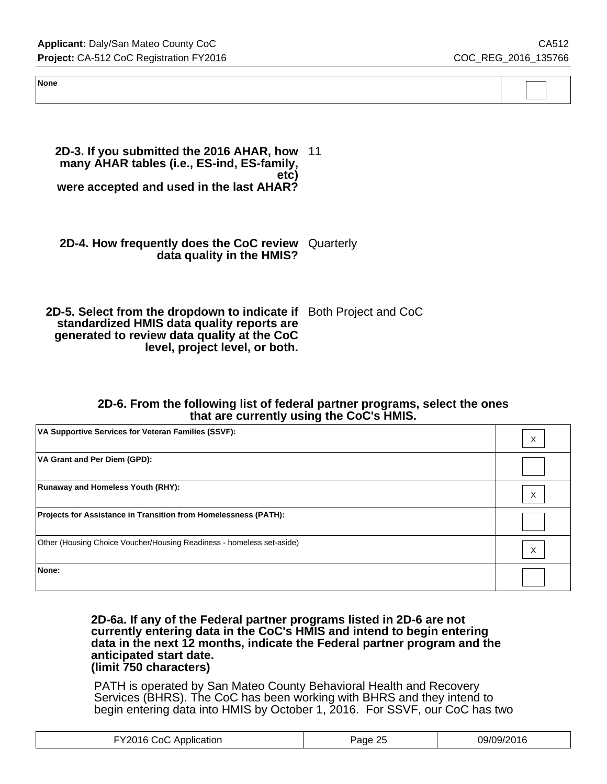**Applicant:** Daly/San Mateo County CoC **CAS12 Project:** CA-512 CoC Registration FY2016 COC\_REG\_2016\_135766

| None |  |  |
|------|--|--|
|      |  |  |
|      |  |  |
|      |  |  |

**2D-3. If you submitted the 2016 AHAR, how** 11 **many AHAR tables (i.e., ES-ind, ES-family, etc) were accepted and used in the last AHAR?**

**2D-4. How frequently does the CoC review** Quarterly **data quality in the HMIS?**

**2D-5. Select from the dropdown to indicate if** Both Project and CoC **standardized HMIS data quality reports are generated to review data quality at the CoC level, project level, or both.**

#### **2D-6. From the following list of federal partner programs, select the ones that are currently using the CoC's HMIS.**

| VA Supportive Services for Veteran Families (SSVF):                   | v |
|-----------------------------------------------------------------------|---|
| <b>VA Grant and Per Diem (GPD):</b>                                   |   |
| <b>Runaway and Homeless Youth (RHY):</b>                              | X |
| Projects for Assistance in Transition from Homelessness (PATH):       |   |
| Other (Housing Choice Voucher/Housing Readiness - homeless set-aside) | X |
| None:                                                                 |   |

**2D-6a. If any of the Federal partner programs listed in 2D-6 are not currently entering data in the CoC's HMIS and intend to begin entering data in the next 12 months, indicate the Federal partner program and the anticipated start date. (limit 750 characters)**

PATH is operated by San Mateo County Behavioral Health and Recovery Services (BHRS). The CoC has been working with BHRS and they intend to begin entering data into HMIS by October 1, 2016. For SSVF, our CoC has two

| -Y2016 .<br>C∩C<br>Application<br>$- - - - - - - -$ | つに<br>ade<br>້ | ີ″?016 |
|-----------------------------------------------------|----------------|--------|
|-----------------------------------------------------|----------------|--------|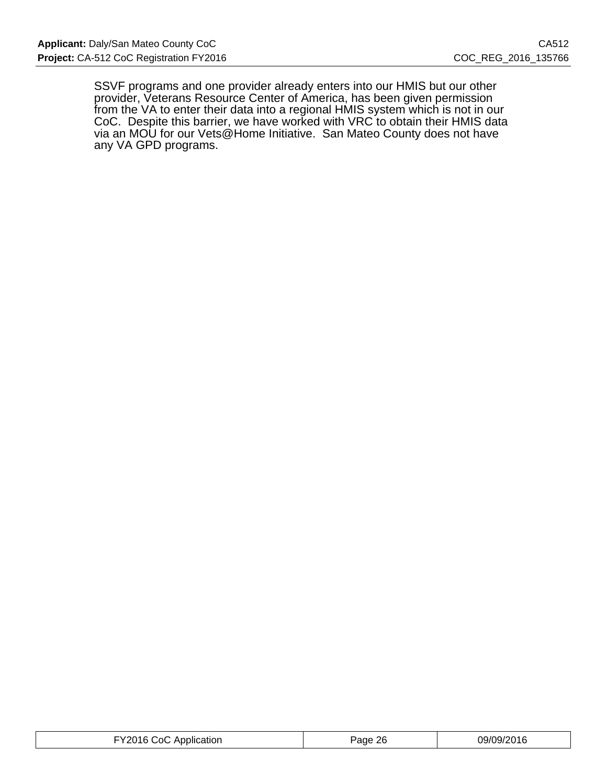SSVF programs and one provider already enters into our HMIS but our other provider, Veterans Resource Center of America, has been given permission from the VA to enter their data into a regional HMIS system which is not in our CoC. Despite this barrier, we have worked with VRC to obtain their HMIS data via an MOU for our Vets@Home Initiative. San Mateo County does not have any VA GPD programs.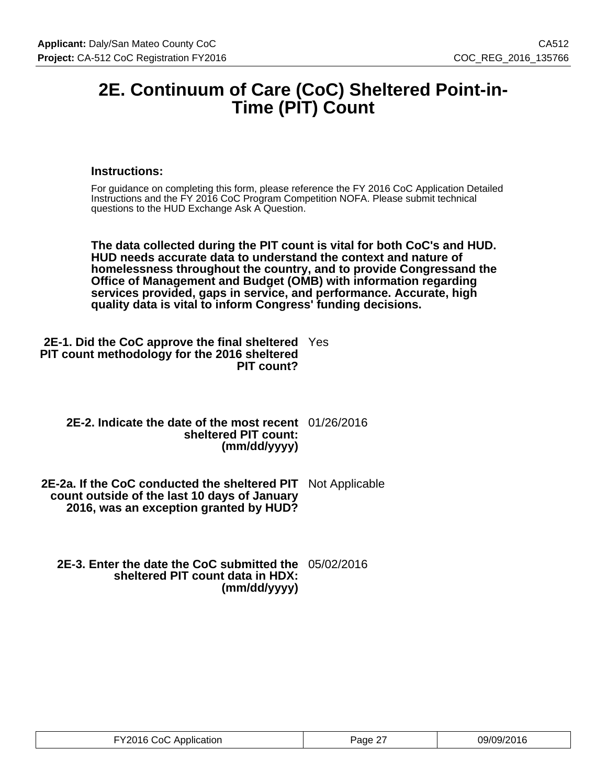# **2E. Continuum of Care (CoC) Sheltered Point-in-Time (PIT) Count**

### **Instructions:**

For guidance on completing this form, please reference the FY 2016 CoC Application Detailed Instructions and the FY 2016 CoC Program Competition NOFA. Please submit technical questions to the HUD Exchange Ask A Question.

**The data collected during the PIT count is vital for both CoC's and HUD. HUD needs accurate data to understand the context and nature of homelessness throughout the country, and to provide Congressand the Office of Management and Budget (OMB) with information regarding services provided, gaps in service, and performance. Accurate, high quality data is vital to inform Congress' funding decisions.**

| <b>2E-1. Did the CoC approve the final sheltered</b> Yes |  |
|----------------------------------------------------------|--|
| PIT count methodology for the 2016 sheltered             |  |
| PIT count?                                               |  |

| 2E-2. Indicate the date of the most recent 01/26/2016 |  |
|-------------------------------------------------------|--|
| sheltered PIT count:                                  |  |
| (mm/dd/yyyy)                                          |  |

**2E-2a. If the CoC conducted the sheltered PIT** Not Applicable **count outside of the last 10 days of January 2016, was an exception granted by HUD?**

**2E-3. Enter the date the CoC submitted the** 05/02/2016 **sheltered PIT count data in HDX: (mm/dd/yyyy)**

| FY2016 CoC Application | Page 27 | 09/09/2016 |
|------------------------|---------|------------|
|------------------------|---------|------------|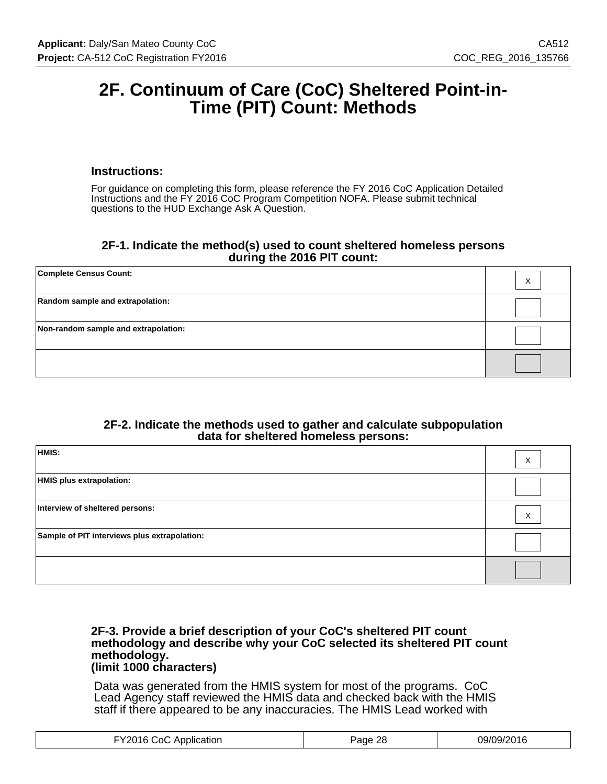# **2F. Continuum of Care (CoC) Sheltered Point-in-Time (PIT) Count: Methods**

### **Instructions:**

For guidance on completing this form, please reference the FY 2016 CoC Application Detailed Instructions and the FY 2016 CoC Program Competition NOFA. Please submit technical questions to the HUD Exchange Ask A Question.

#### **2F-1. Indicate the method(s) used to count sheltered homeless persons during the 2016 PIT count:**

| <b>Complete Census Count:</b>        | х |
|--------------------------------------|---|
| Random sample and extrapolation:     |   |
| Non-random sample and extrapolation: |   |
|                                      |   |

#### **2F-2. Indicate the methods used to gather and calculate subpopulation data for sheltered homeless persons:**

| HMIS:                                        | X |
|----------------------------------------------|---|
| HMIS plus extrapolation:                     |   |
| Interview of sheltered persons:              | X |
| Sample of PIT interviews plus extrapolation: |   |
|                                              |   |

#### **2F-3. Provide a brief description of your CoC's sheltered PIT count methodology and describe why your CoC selected its sheltered PIT count methodology. (limit 1000 characters)**

Data was generated from the HMIS system for most of the programs. CoC Lead Agency staff reviewed the HMIS data and checked back with the HMIS staff if there appeared to be any inaccuracies. The HMIS Lead worked with

| FY2016 CoC Application | 28<br>Page | 09/09/2016 |
|------------------------|------------|------------|
|------------------------|------------|------------|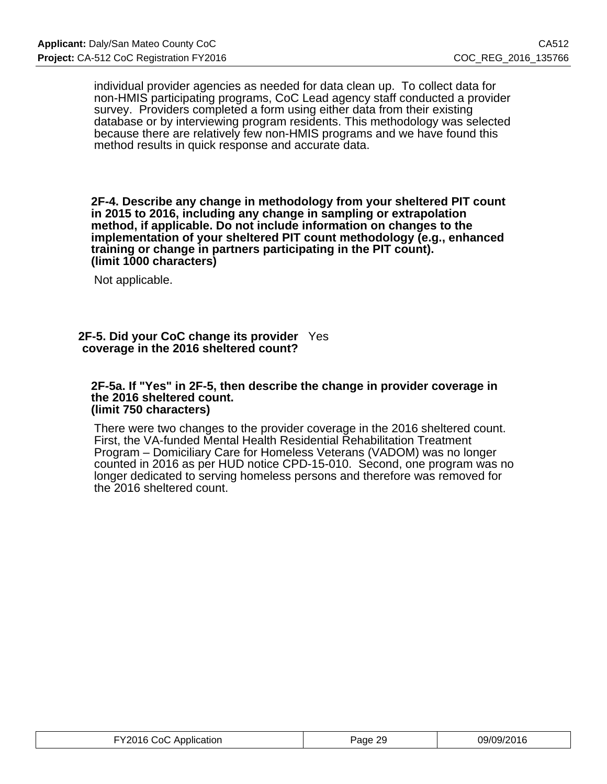individual provider agencies as needed for data clean up. To collect data for non-HMIS participating programs, CoC Lead agency staff conducted a provider survey. Providers completed a form using either data from their existing database or by interviewing program residents. This methodology was selected because there are relatively few non-HMIS programs and we have found this method results in quick response and accurate data.

**2F-4. Describe any change in methodology from your sheltered PIT count in 2015 to 2016, including any change in sampling or extrapolation method, if applicable. Do not include information on changes to the implementation of your sheltered PIT count methodology (e.g., enhanced training or change in partners participating in the PIT count). (limit 1000 characters)**

Not applicable.

#### **2F-5. Did your CoC change its provider** Yes **coverage in the 2016 sheltered count?**

#### **2F-5a. If "Yes" in 2F-5, then describe the change in provider coverage in the 2016 sheltered count. (limit 750 characters)**

There were two changes to the provider coverage in the 2016 sheltered count. First, the VA-funded Mental Health Residential Rehabilitation Treatment Program – Domiciliary Care for Homeless Veterans (VADOM) was no longer counted in 2016 as per HUD notice CPD-15-010. Second, one program was no longer dedicated to serving homeless persons and therefore was removed for the 2016 sheltered count.

| FY2016 CoC Application | Page 29 | 09/09/2016 |
|------------------------|---------|------------|
|------------------------|---------|------------|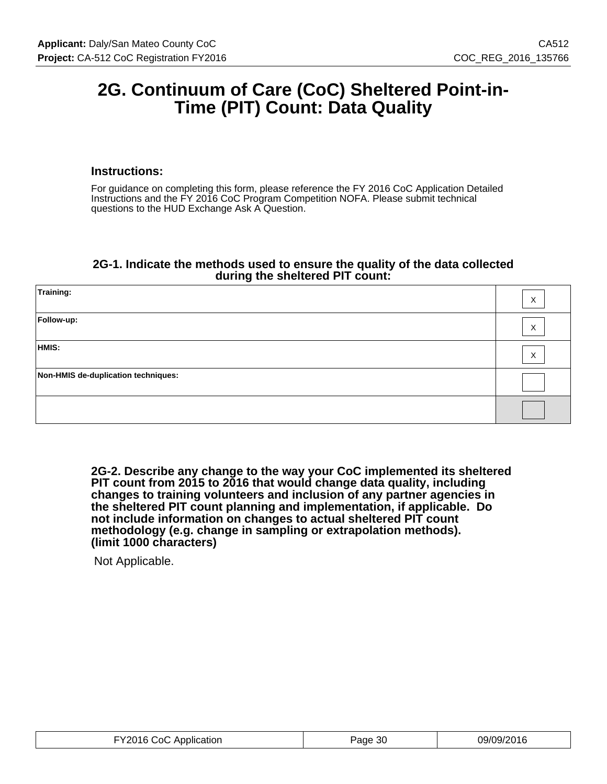# **2G. Continuum of Care (CoC) Sheltered Point-in-Time (PIT) Count: Data Quality**

#### **Instructions:**

For guidance on completing this form, please reference the FY 2016 CoC Application Detailed Instructions and the FY 2016 CoC Program Competition NOFA. Please submit technical questions to the HUD Exchange Ask A Question.

#### **2G-1. Indicate the methods used to ensure the quality of the data collected during the sheltered PIT count:**

| Training:                           | X                 |
|-------------------------------------|-------------------|
| Follow-up:                          | X                 |
| HMIS:                               | $\checkmark$<br>v |
| Non-HMIS de-duplication techniques: |                   |
|                                     |                   |

**2G-2. Describe any change to the way your CoC implemented its sheltered PIT count from 2015 to 2016 that would change data quality, including changes to training volunteers and inclusion of any partner agencies in the sheltered PIT count planning and implementation, if applicable. Do not include information on changes to actual sheltered PIT count methodology (e.g. change in sampling or extrapolation methods). (limit 1000 characters)**

Not Applicable.

| FY2016 CoC Application | Page 30 | 09/09/2016 |
|------------------------|---------|------------|
|------------------------|---------|------------|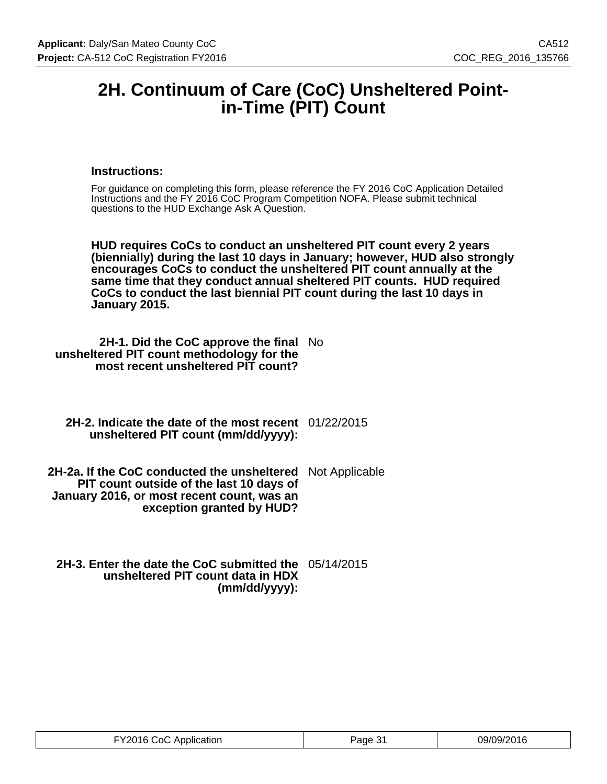# **2H. Continuum of Care (CoC) Unsheltered Pointin-Time (PIT) Count**

### **Instructions:**

For guidance on completing this form, please reference the FY 2016 CoC Application Detailed Instructions and the FY 2016 CoC Program Competition NOFA. Please submit technical questions to the HUD Exchange Ask A Question.

**HUD requires CoCs to conduct an unsheltered PIT count every 2 years (biennially) during the last 10 days in January; however, HUD also strongly encourages CoCs to conduct the unsheltered PIT count annually at the same time that they conduct annual sheltered PIT counts. HUD required CoCs to conduct the last biennial PIT count during the last 10 days in January 2015.**

**2H-1. Did the CoC approve the final** No **unsheltered PIT count methodology for the most recent unsheltered PIT count?**

**2H-2. Indicate the date of the most recent** 01/22/2015 **unsheltered PIT count (mm/dd/yyyy):**

**2H-2a. If the CoC conducted the unsheltered PIT count outside of the last 10 days of January 2016, or most recent count, was an exception granted by HUD?** Not Applicable

**2H-3. Enter the date the CoC submitted the** 05/14/2015 **unsheltered PIT count data in HDX (mm/dd/yyyy):**

| FY2016 CoC Application | Page 31 | 09/09/2016 |
|------------------------|---------|------------|
|------------------------|---------|------------|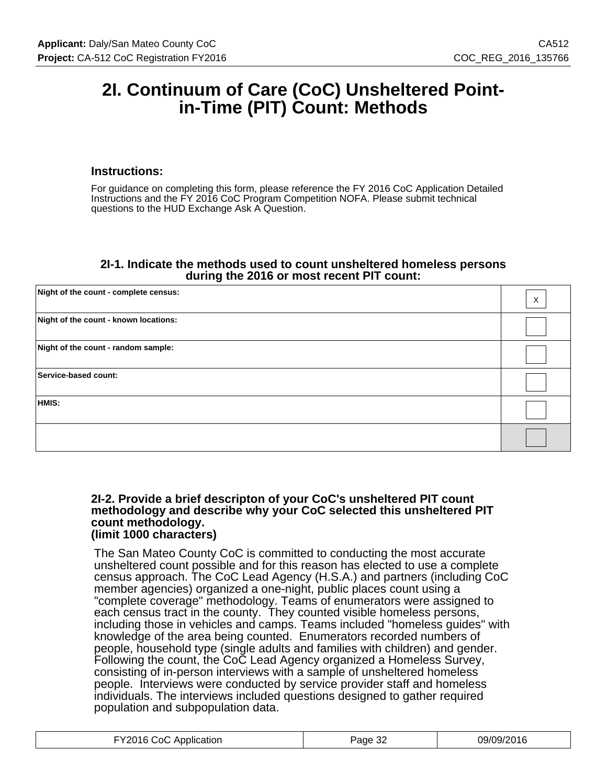# **2I. Continuum of Care (CoC) Unsheltered Pointin-Time (PIT) Count: Methods**

#### **Instructions:**

For guidance on completing this form, please reference the FY 2016 CoC Application Detailed Instructions and the FY 2016 CoC Program Competition NOFA. Please submit technical questions to the HUD Exchange Ask A Question.

#### **2I-1. Indicate the methods used to count unsheltered homeless persons during the 2016 or most recent PIT count:**

| Night of the count - complete census: | $\mathsf{X}$ |
|---------------------------------------|--------------|
| Night of the count - known locations: |              |
| Night of the count - random sample:   |              |
| Service-based count:                  |              |
| HMIS:                                 |              |
|                                       |              |

#### **2I-2. Provide a brief descripton of your CoC's unsheltered PIT count methodology and describe why your CoC selected this unsheltered PIT count methodology. (limit 1000 characters)**

The San Mateo County CoC is committed to conducting the most accurate unsheltered count possible and for this reason has elected to use a complete census approach. The CoC Lead Agency (H.S.A.) and partners (including CoC member agencies) organized a one-night, public places count using a "complete coverage" methodology. Teams of enumerators were assigned to each census tract in the county. They counted visible homeless persons, including those in vehicles and camps. Teams included "homeless guides" with knowledge of the area being counted. Enumerators recorded numbers of people, household type (single adults and families with children) and gender. Following the count, the CoC Lead Agency organized a Homeless Survey, consisting of in-person interviews with a sample of unsheltered homeless people. Interviews were conducted by service provider staff and homeless individuals. The interviews included questions designed to gather required population and subpopulation data.

| FY2016 CoC Application | Page 32 | 09/09/2016 |
|------------------------|---------|------------|
|------------------------|---------|------------|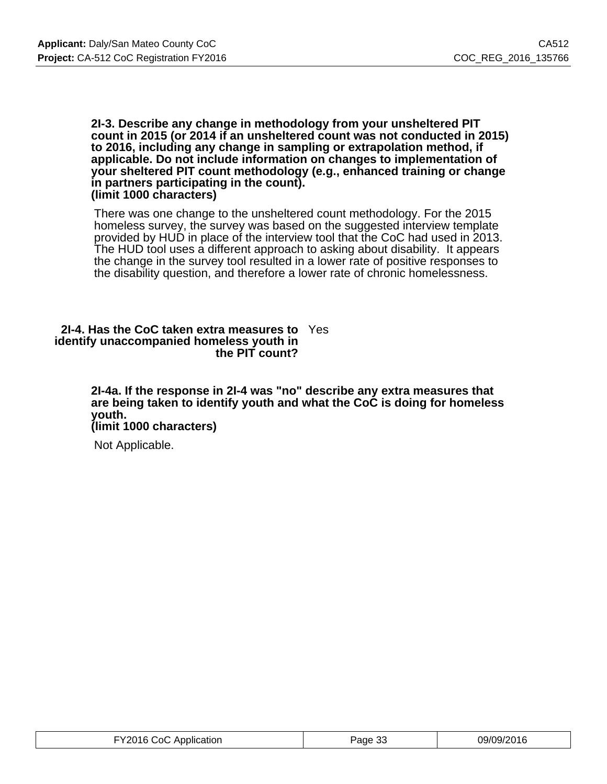#### **2I-3. Describe any change in methodology from your unsheltered PIT count in 2015 (or 2014 if an unsheltered count was not conducted in 2015) to 2016, including any change in sampling or extrapolation method, if applicable. Do not include information on changes to implementation of your sheltered PIT count methodology (e.g., enhanced training or change in partners participating in the count). (limit 1000 characters)**

There was one change to the unsheltered count methodology. For the 2015 homeless survey, the survey was based on the suggested interview template provided by HUD in place of the interview tool that the CoC had used in 2013. The HUD tool uses a different approach to asking about disability. It appears the change in the survey tool resulted in a lower rate of positive responses to the disability question, and therefore a lower rate of chronic homelessness.

#### **2I-4. Has the CoC taken extra measures to** Yes **identify unaccompanied homeless youth in the PIT count?**

**2I-4a. If the response in 2I-4 was "no" describe any extra measures that are being taken to identify youth and what the CoC is doing for homeless youth.**

**(limit 1000 characters)**

Not Applicable.

| FY2016 CoC Application | Page 33 | 09/09/2016 |
|------------------------|---------|------------|
|------------------------|---------|------------|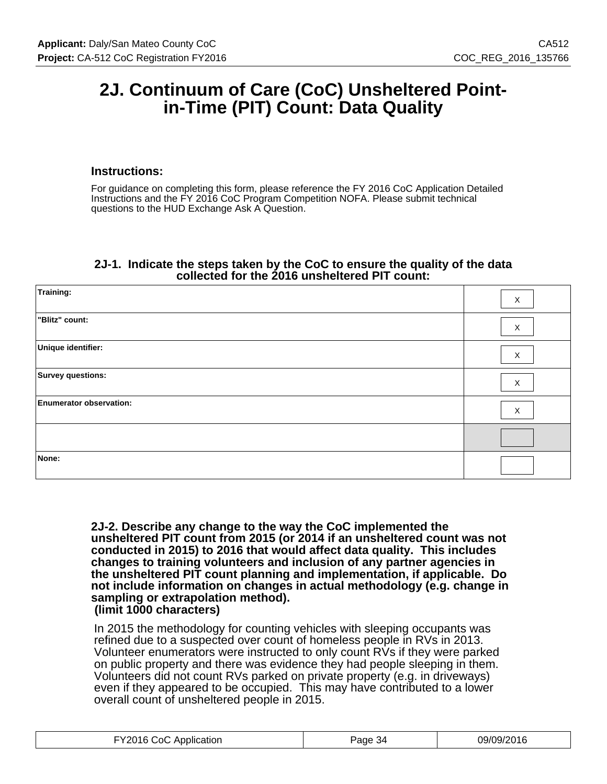# **2J. Continuum of Care (CoC) Unsheltered Pointin-Time (PIT) Count: Data Quality**

### **Instructions:**

For guidance on completing this form, please reference the FY 2016 CoC Application Detailed Instructions and the FY 2016 CoC Program Competition NOFA. Please submit technical questions to the HUD Exchange Ask A Question.

### **2J-1. Indicate the steps taken by the CoC to ensure the quality of the data collected for the 2016 unsheltered PIT count:**

| Training:                      | X           |
|--------------------------------|-------------|
| "Blitz" count:                 | X           |
| Unique identifier:             | X           |
| Survey questions:              | $\mathsf X$ |
| <b>Enumerator observation:</b> | X           |
|                                |             |
| None:                          |             |

**2J-2. Describe any change to the way the CoC implemented the unsheltered PIT count from 2015 (or 2014 if an unsheltered count was not conducted in 2015) to 2016 that would affect data quality. This includes changes to training volunteers and inclusion of any partner agencies in the unsheltered PIT count planning and implementation, if applicable. Do not include information on changes in actual methodology (e.g. change in sampling or extrapolation method). (limit 1000 characters)**

In 2015 the methodology for counting vehicles with sleeping occupants was refined due to a suspected over count of homeless people in RVs in 2013. Volunteer enumerators were instructed to only count RVs if they were parked on public property and there was evidence they had people sleeping in them. Volunteers did not count RVs parked on private property (e.g. in driveways) even if they appeared to be occupied. This may have contributed to a lower overall count of unsheltered people in 2015.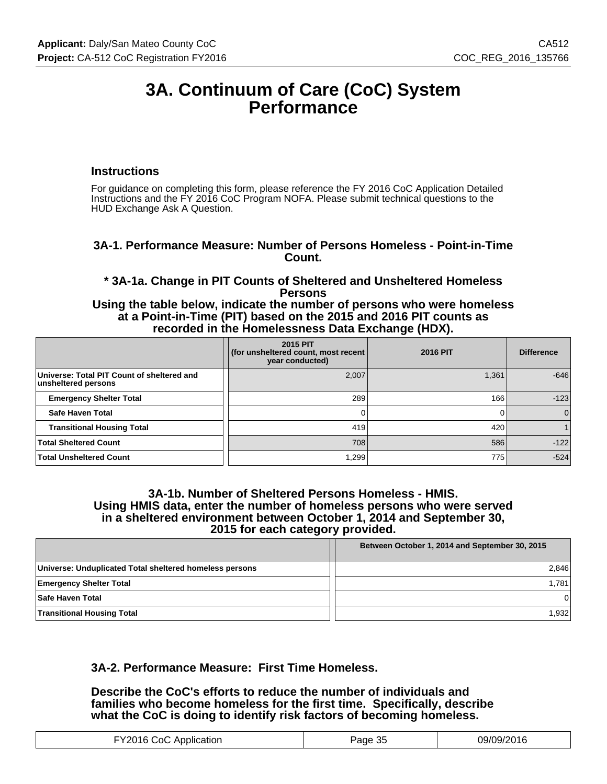# **3A. Continuum of Care (CoC) System Performance**

#### **Instructions**

For guidance on completing this form, please reference the FY 2016 CoC Application Detailed Instructions and the FY 2016 CoC Program NOFA. Please submit technical questions to the HUD Exchange Ask A Question.

### **3A-1. Performance Measure: Number of Persons Homeless - Point-in-Time Count.**

**\* 3A-1a. Change in PIT Counts of Sheltered and Unsheltered Homeless Persons**

**Using the table below, indicate the number of persons who were homeless at a Point-in-Time (PIT) based on the 2015 and 2016 PIT counts as recorded in the Homelessness Data Exchange (HDX).**

|                                                                   | <b>2015 PIT</b><br>for unsheltered count, most recent<br>year conducted) | <b>2016 PIT</b> | <b>Difference</b> |
|-------------------------------------------------------------------|--------------------------------------------------------------------------|-----------------|-------------------|
| Universe: Total PIT Count of sheltered and<br>unsheltered persons | 2,007                                                                    | 1,361           | $-646$            |
| <b>Emergency Shelter Total</b>                                    | 289                                                                      | 166             | $-123$            |
| Safe Haven Total                                                  |                                                                          |                 | $\mathbf{0}$      |
| <b>Transitional Housing Total</b>                                 | 419                                                                      | 420             |                   |
| <b>Total Sheltered Count</b>                                      | 708                                                                      | 586             | $-122$            |
| <b>Total Unsheltered Count</b>                                    | 1,299                                                                    | 775             | $-524$            |

#### **3A-1b. Number of Sheltered Persons Homeless - HMIS. Using HMIS data, enter the number of homeless persons who were served in a sheltered environment between October 1, 2014 and September 30, 2015 for each category provided.**

|                                                         | Between October 1, 2014 and September 30, 2015 |  |
|---------------------------------------------------------|------------------------------------------------|--|
| Universe: Unduplicated Total sheltered homeless persons | 2,846                                          |  |
| <b>Emergency Shelter Total</b>                          | 1,781                                          |  |
| Safe Haven Total                                        | ΩI                                             |  |
| <b>Transitional Housing Total</b>                       | 1,932                                          |  |

## **3A-2. Performance Measure: First Time Homeless.**

**Describe the CoC's efforts to reduce the number of individuals and families who become homeless for the first time. Specifically, describe what the CoC is doing to identify risk factors of becoming homeless.**

| Application<br>∴∩C<br>. . <b>.</b> | Page<br>ື | า9/09/2016<br>סו ט <i>צו</i> צט |
|------------------------------------|-----------|---------------------------------|
|------------------------------------|-----------|---------------------------------|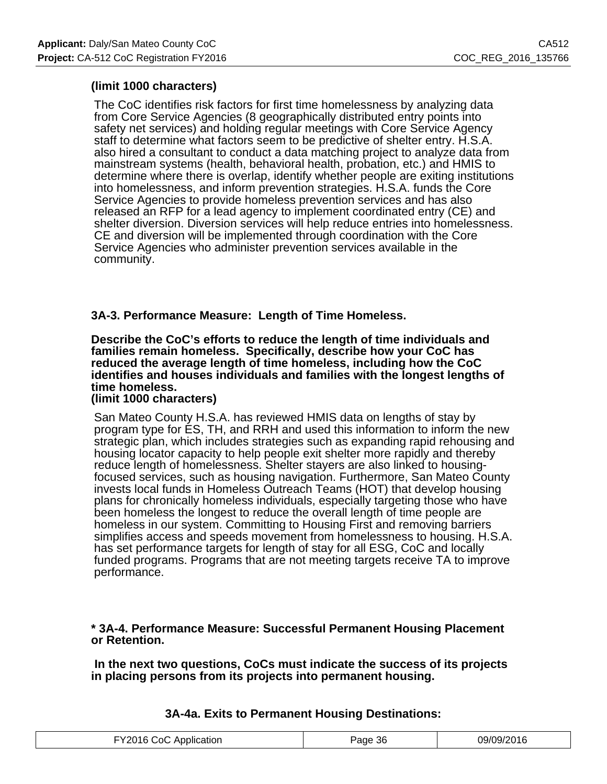# **(limit 1000 characters)**

The CoC identifies risk factors for first time homelessness by analyzing data from Core Service Agencies (8 geographically distributed entry points into safety net services) and holding regular meetings with Core Service Agency staff to determine what factors seem to be predictive of shelter entry. H.S.A. also hired a consultant to conduct a data matching project to analyze data from mainstream systems (health, behavioral health, probation, etc.) and HMIS to determine where there is overlap, identify whether people are exiting institutions into homelessness, and inform prevention strategies. H.S.A. funds the Core Service Agencies to provide homeless prevention services and has also released an RFP for a lead agency to implement coordinated entry (CE) and shelter diversion. Diversion services will help reduce entries into homelessness. CE and diversion will be implemented through coordination with the Core Service Agencies who administer prevention services available in the community.

# **3A-3. Performance Measure: Length of Time Homeless.**

#### **Describe the CoC's efforts to reduce the length of time individuals and families remain homeless. Specifically, describe how your CoC has reduced the average length of time homeless, including how the CoC identifies and houses individuals and families with the longest lengths of time homeless. (limit 1000 characters)**

San Mateo County H.S.A. has reviewed HMIS data on lengths of stay by program type for ES, TH, and RRH and used this information to inform the new strategic plan, which includes strategies such as expanding rapid rehousing and housing locator capacity to help people exit shelter more rapidly and thereby reduce length of homelessness. Shelter stayers are also linked to housingfocused services, such as housing navigation. Furthermore, San Mateo County invests local funds in Homeless Outreach Teams (HOT) that develop housing plans for chronically homeless individuals, especially targeting those who have been homeless the longest to reduce the overall length of time people are homeless in our system. Committing to Housing First and removing barriers simplifies access and speeds movement from homelessness to housing. H.S.A. has set performance targets for length of stay for all ESG, CoC and locally funded programs. Programs that are not meeting targets receive TA to improve performance.

**\* 3A-4. Performance Measure: Successful Permanent Housing Placement or Retention.**

 **In the next two questions, CoCs must indicate the success of its projects in placing persons from its projects into permanent housing.**

| ، Y2016 CoC<br>* Application | 'aae 36<br>ີບ | 09/09/2016 |
|------------------------------|---------------|------------|

# **3A-4a. Exits to Permanent Housing Destinations:**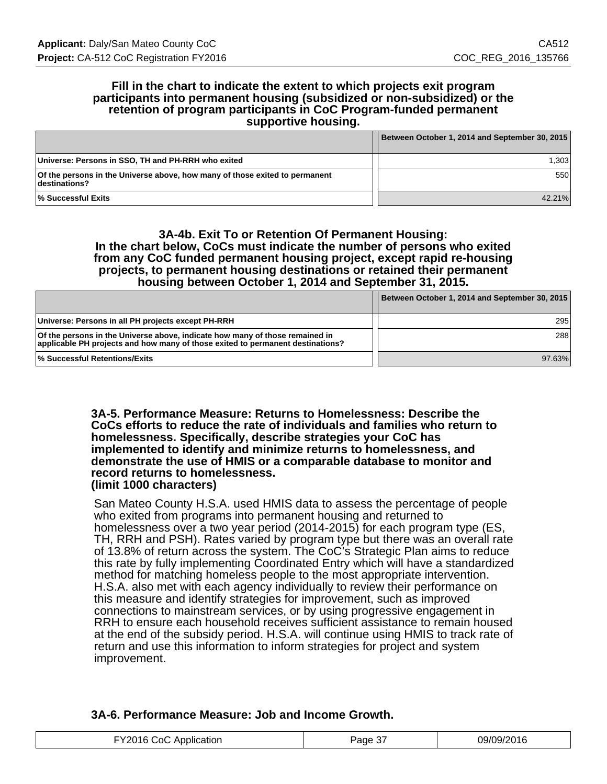#### **Fill in the chart to indicate the extent to which projects exit program participants into permanent housing (subsidized or non-subsidized) or the retention of program participants in CoC Program-funded permanent supportive housing.**

|                                                                                                     | Between October 1, 2014 and September 30, 2015 |
|-----------------------------------------------------------------------------------------------------|------------------------------------------------|
| Universe: Persons in SSO, TH and PH-RRH who exited                                                  | 1.3031                                         |
| <b>Of the persons in the Universe above, how many of those exited to permanent</b><br>destinations? | 550                                            |
| <b>Successful Exits</b> ↓                                                                           | 42.21%                                         |

#### **3A-4b. Exit To or Retention Of Permanent Housing: In the chart below, CoCs must indicate the number of persons who exited from any CoC funded permanent housing project, except rapid re-housing projects, to permanent housing destinations or retained their permanent housing between October 1, 2014 and September 31, 2015.**

|                                                                                                                                                                | Between October 1, 2014 and September 30, 2015 |
|----------------------------------------------------------------------------------------------------------------------------------------------------------------|------------------------------------------------|
| Universe: Persons in all PH projects except PH-RRH                                                                                                             | 295                                            |
| Of the persons in the Universe above, indicate how many of those remained in<br>applicable PH projects and how many of those exited to permanent destinations? | 288                                            |
| <b>Successful Retentions/Exits</b>                                                                                                                             | 97.63%                                         |

#### **3A-5. Performance Measure: Returns to Homelessness: Describe the CoCs efforts to reduce the rate of individuals and families who return to homelessness. Specifically, describe strategies your CoC has implemented to identify and minimize returns to homelessness, and demonstrate the use of HMIS or a comparable database to monitor and record returns to homelessness. (limit 1000 characters)**

San Mateo County H.S.A. used HMIS data to assess the percentage of people who exited from programs into permanent housing and returned to homelessness over a two year period (2014-2015) for each program type (ES, TH, RRH and PSH). Rates varied by program type but there was an overall rate of 13.8% of return across the system. The CoC's Strategic Plan aims to reduce this rate by fully implementing Coordinated Entry which will have a standardized method for matching homeless people to the most appropriate intervention. H.S.A. also met with each agency individually to review their performance on this measure and identify strategies for improvement, such as improved connections to mainstream services, or by using progressive engagement in RRH to ensure each household receives sufficient assistance to remain housed at the end of the subsidy period. H.S.A. will continue using HMIS to track rate of return and use this information to inform strategies for project and system improvement.

# **3A-6. Performance Measure: Job and Income Growth.**

| .Y2N16.<br>:∩∩<br>Abblication | $\sim$<br>'ane∙<br>، دت | 09/09/2016 |
|-------------------------------|-------------------------|------------|
|-------------------------------|-------------------------|------------|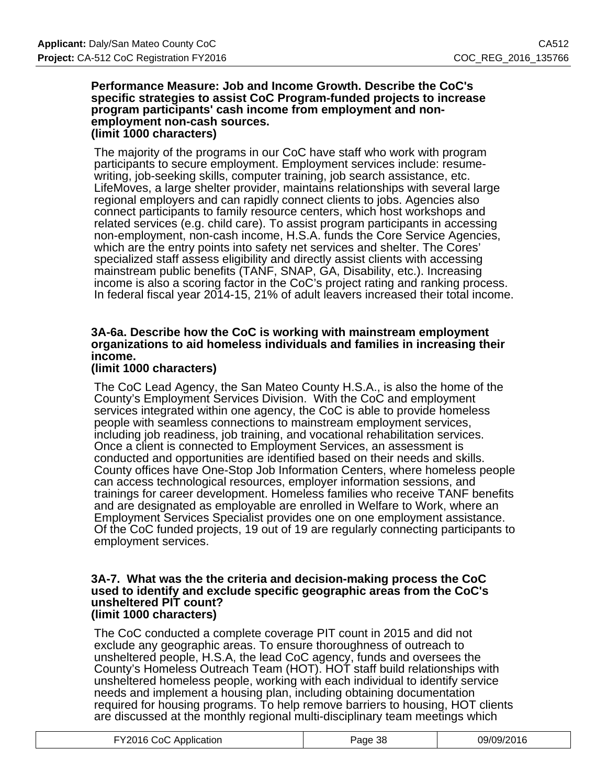#### **Performance Measure: Job and Income Growth. Describe the CoC's specific strategies to assist CoC Program-funded projects to increase program participants' cash income from employment and nonemployment non-cash sources. (limit 1000 characters)**

The majority of the programs in our CoC have staff who work with program participants to secure employment. Employment services include: resumewriting, job-seeking skills, computer training, job search assistance, etc. LifeMoves, a large shelter provider, maintains relationships with several large regional employers and can rapidly connect clients to jobs. Agencies also connect participants to family resource centers, which host workshops and related services (e.g. child care). To assist program participants in accessing non-employment, non-cash income, H.S.A. funds the Core Service Agencies, which are the entry points into safety net services and shelter. The Cores' specialized staff assess eligibility and directly assist clients with accessing mainstream public benefits (TANF, SNAP, GA, Disability, etc.). Increasing income is also a scoring factor in the CoC's project rating and ranking process. In federal fiscal year 2014-15, 21% of adult leavers increased their total income.

# **3A-6a. Describe how the CoC is working with mainstream employment organizations to aid homeless individuals and families in increasing their income.**

## **(limit 1000 characters)**

The CoC Lead Agency, the San Mateo County H.S.A., is also the home of the County's Employment Services Division. With the CoC and employment services integrated within one agency, the CoC is able to provide homeless people with seamless connections to mainstream employment services, including job readiness, job training, and vocational rehabilitation services. Once a client is connected to Employment Services, an assessment is conducted and opportunities are identified based on their needs and skills. County offices have One-Stop Job Information Centers, where homeless people can access technological resources, employer information sessions, and trainings for career development. Homeless families who receive TANF benefits and are designated as employable are enrolled in Welfare to Work, where an Employment Services Specialist provides one on one employment assistance. Of the CoC funded projects, 19 out of 19 are regularly connecting participants to employment services.

#### **3A-7. What was the the criteria and decision-making process the CoC used to identify and exclude specific geographic areas from the CoC's unsheltered PIT count? (limit 1000 characters)**

The CoC conducted a complete coverage PIT count in 2015 and did not exclude any geographic areas. To ensure thoroughness of outreach to unsheltered people, H.S.A, the lead CoC agency, funds and oversees the County's Homeless Outreach Team (HOT). HOT staff build relationships with unsheltered homeless people, working with each individual to identify service needs and implement a housing plan, including obtaining documentation required for housing programs. To help remove barriers to housing, HOT clients are discussed at the monthly regional multi-disciplinary team meetings which

| FY2016 CoC Application | Page 38 | 09/09/2016 |
|------------------------|---------|------------|
|                        |         |            |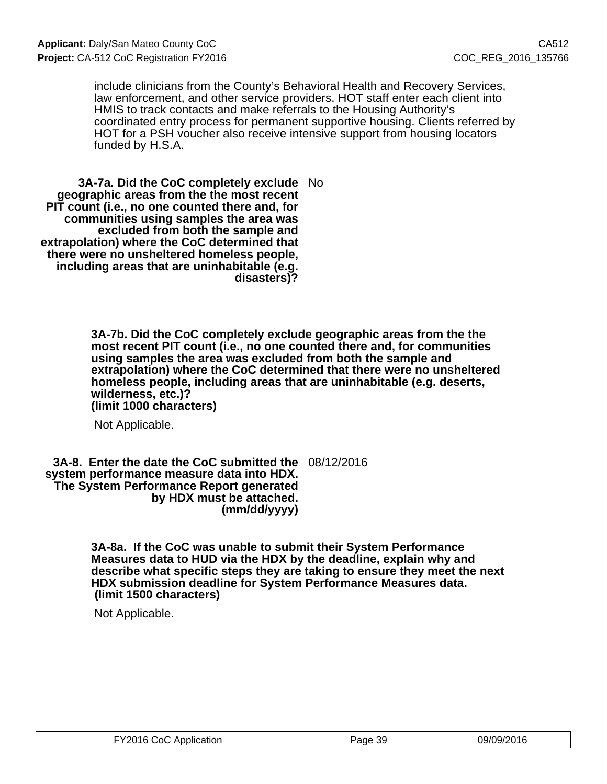include clinicians from the County's Behavioral Health and Recovery Services, law enforcement, and other service providers. HOT staff enter each client into HMIS to track contacts and make referrals to the Housing Authority's coordinated entry process for permanent supportive housing. Clients referred by HOT for a PSH voucher also receive intensive support from housing locators funded by H.S.A.

**3A-7a. Did the CoC completely exclude** No **geographic areas from the the most recent PIT count (i.e., no one counted there and, for communities using samples the area was excluded from both the sample and extrapolation) where the CoC determined that there were no unsheltered homeless people, including areas that are uninhabitable (e.g. disasters)?**

> **3A-7b. Did the CoC completely exclude geographic areas from the the most recent PIT count (i.e., no one counted there and, for communities using samples the area was excluded from both the sample and extrapolation) where the CoC determined that there were no unsheltered homeless people, including areas that are uninhabitable (e.g. deserts, wilderness, etc.)? (limit 1000 characters)**

Not Applicable.

**3A-8. Enter the date the CoC submitted the** 08/12/2016 **system performance measure data into HDX. The System Performance Report generated by HDX must be attached. (mm/dd/yyyy)**

> **3A-8a. If the CoC was unable to submit their System Performance Measures data to HUD via the HDX by the deadline, explain why and describe what specific steps they are taking to ensure they meet the next HDX submission deadline for System Performance Measures data. (limit 1500 characters)**

Not Applicable.

| FY2016 CoC Application | Page 39 | 09/09/2016 |
|------------------------|---------|------------|
|------------------------|---------|------------|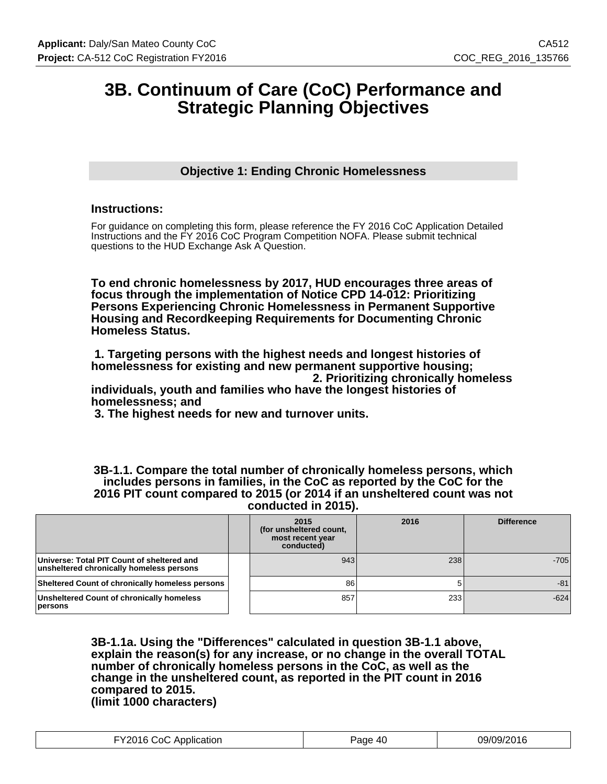# **3B. Continuum of Care (CoC) Performance and Strategic Planning Objectives**

# **Objective 1: Ending Chronic Homelessness**

### **Instructions:**

For guidance on completing this form, please reference the FY 2016 CoC Application Detailed Instructions and the FY 2016 CoC Program Competition NOFA. Please submit technical questions to the HUD Exchange Ask A Question.

**To end chronic homelessness by 2017, HUD encourages three areas of focus through the implementation of Notice CPD 14-012: Prioritizing Persons Experiencing Chronic Homelessness in Permanent Supportive Housing and Recordkeeping Requirements for Documenting Chronic Homeless Status.**

 **1. Targeting persons with the highest needs and longest histories of homelessness for existing and new permanent supportive housing; 2. Prioritizing chronically homeless**

**individuals, youth and families who have the longest histories of homelessness; and**

 **3. The highest needs for new and turnover units.**

**3B-1.1. Compare the total number of chronically homeless persons, which includes persons in families, in the CoC as reported by the CoC for the 2016 PIT count compared to 2015 (or 2014 if an unsheltered count was not conducted in 2015).**

|                                                                                        | 2015<br>(for unsheltered count,<br>most recent year<br>conducted) | 2016 | <b>Difference</b> |
|----------------------------------------------------------------------------------------|-------------------------------------------------------------------|------|-------------------|
| Universe: Total PIT Count of sheltered and<br>unsheltered chronically homeless persons | 943                                                               | 238  | $-705$            |
| <b>Sheltered Count of chronically homeless persons</b>                                 | 86                                                                |      | $-81$             |
| <b>Unsheltered Count of chronically homeless</b><br>persons                            | 857                                                               | 233  | $-624$            |

**3B-1.1a. Using the "Differences" calculated in question 3B-1.1 above, explain the reason(s) for any increase, or no change in the overall TOTAL number of chronically homeless persons in the CoC, as well as the change in the unsheltered count, as reported in the PIT count in 2016 compared to 2015. (limit 1000 characters)**

| FY2016 CoC Application | Page 40 | 09/09/2016 |
|------------------------|---------|------------|
|------------------------|---------|------------|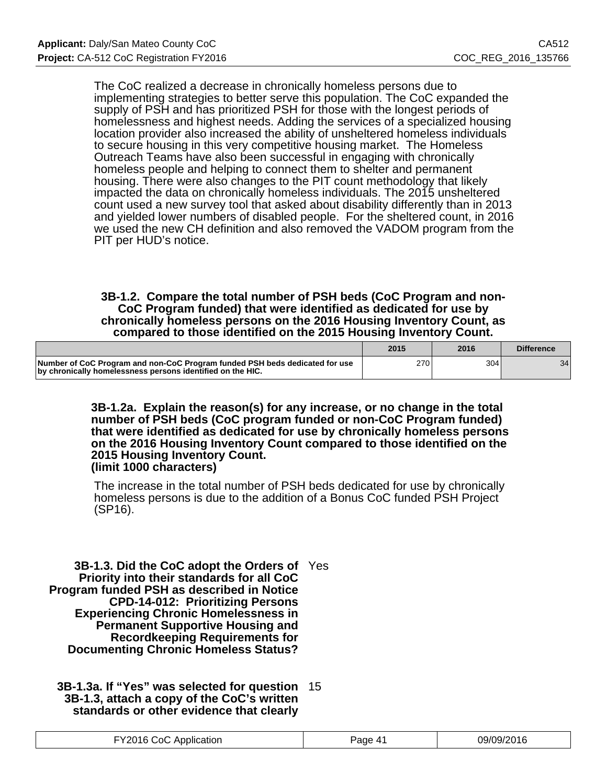The CoC realized a decrease in chronically homeless persons due to implementing strategies to better serve this population. The CoC expanded the supply of PSH and has prioritized PSH for those with the longest periods of homelessness and highest needs. Adding the services of a specialized housing location provider also increased the ability of unsheltered homeless individuals to secure housing in this very competitive housing market. The Homeless Outreach Teams have also been successful in engaging with chronically homeless people and helping to connect them to shelter and permanent housing. There were also changes to the PIT count methodology that likely impacted the data on chronically homeless individuals. The 2015 unsheltered count used a new survey tool that asked about disability differently than in 2013 and yielded lower numbers of disabled people. For the sheltered count, in 2016 we used the new CH definition and also removed the VADOM program from the PIT per HUD's notice.

### **3B-1.2. Compare the total number of PSH beds (CoC Program and non-CoC Program funded) that were identified as dedicated for use by chronically homeless persons on the 2016 Housing Inventory Count, as compared to those identified on the 2015 Housing Inventory Count.**

|                                                                                                                                           | 2015 | 2016 | <b>Difference</b> |
|-------------------------------------------------------------------------------------------------------------------------------------------|------|------|-------------------|
| Number of CoC Program and non-CoC Program funded PSH beds dedicated for use<br>by chronically homelessness persons identified on the HIC. | 270  | 3041 | 34 <sub>1</sub>   |

**3B-1.2a. Explain the reason(s) for any increase, or no change in the total number of PSH beds (CoC program funded or non-CoC Program funded) that were identified as dedicated for use by chronically homeless persons on the 2016 Housing Inventory Count compared to those identified on the 2015 Housing Inventory Count. (limit 1000 characters)**

The increase in the total number of PSH beds dedicated for use by chronically homeless persons is due to the addition of a Bonus CoC funded PSH Project (SP16).

**3B-1.3. Did the CoC adopt the Orders of** Yes **Priority into their standards for all CoC Program funded PSH as described in Notice CPD-14-012: Prioritizing Persons Experiencing Chronic Homelessness in Permanent Supportive Housing and Recordkeeping Requirements for Documenting Chronic Homeless Status?**

**3B-1.3a. If "Yes" was selected for question** 15 **3B-1.3, attach a copy of the CoC's written standards or other evidence that clearly**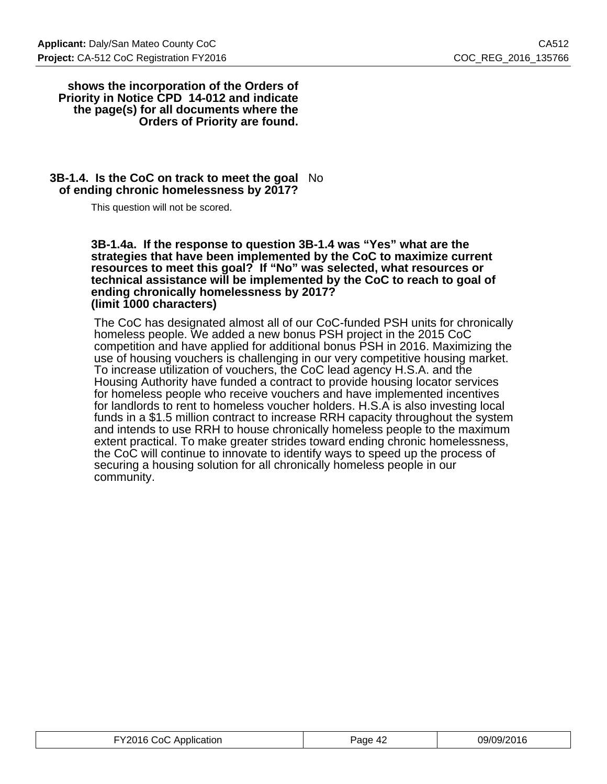#### **shows the incorporation of the Orders of Priority in Notice CPD 14-012 and indicate the page(s) for all documents where the Orders of Priority are found.**

### **3B-1.4. Is the CoC on track to meet the goal** No **of ending chronic homelessness by 2017?**

This question will not be scored.

**3B-1.4a. If the response to question 3B-1.4 was "Yes" what are the strategies that have been implemented by the CoC to maximize current resources to meet this goal? If "No" was selected, what resources or technical assistance will be implemented by the CoC to reach to goal of ending chronically homelessness by 2017? (limit 1000 characters)**

The CoC has designated almost all of our CoC-funded PSH units for chronically homeless people. We added a new bonus PSH project in the 2015 CoC competition and have applied for additional bonus PSH in 2016. Maximizing the use of housing vouchers is challenging in our very competitive housing market. To increase utilization of vouchers, the CoC lead agency H.S.A. and the Housing Authority have funded a contract to provide housing locator services for homeless people who receive vouchers and have implemented incentives for landlords to rent to homeless voucher holders. H.S.A is also investing local funds in a \$1.5 million contract to increase RRH capacity throughout the system and intends to use RRH to house chronically homeless people to the maximum extent practical. To make greater strides toward ending chronic homelessness, the CoC will continue to innovate to identify ways to speed up the process of securing a housing solution for all chronically homeless people in our community.

| FY2016 CoC Application | Page 42 | 09/09/2016 |
|------------------------|---------|------------|
|------------------------|---------|------------|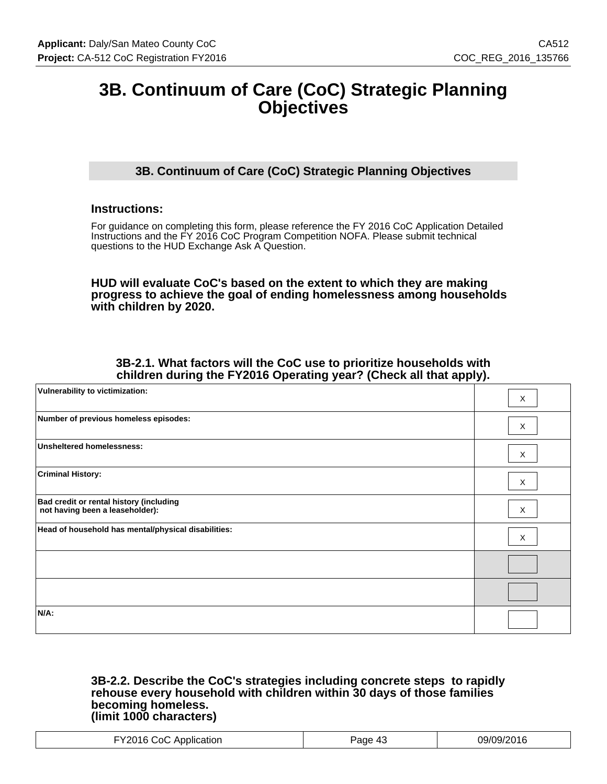# **3B. Continuum of Care (CoC) Strategic Planning Objectives**

# **3B. Continuum of Care (CoC) Strategic Planning Objectives**

## **Instructions:**

For guidance on completing this form, please reference the FY 2016 CoC Application Detailed Instructions and the FY 2016 CoC Program Competition NOFA. Please submit technical questions to the HUD Exchange Ask A Question.

**HUD will evaluate CoC's based on the extent to which they are making progress to achieve the goal of ending homelessness among households with children by 2020.**

### **3B-2.1. What factors will the CoC use to prioritize households with children during the FY2016 Operating year? (Check all that apply).**

| Vulnerability to victimization:                                            | X            |
|----------------------------------------------------------------------------|--------------|
| Number of previous homeless episodes:                                      | X            |
| <b>Unsheltered homelessness:</b>                                           | X            |
| <b>Criminal History:</b>                                                   | X            |
| Bad credit or rental history (including<br>not having been a leaseholder): | $\mathsf{X}$ |
| Head of household has mental/physical disabilities:                        | X            |
|                                                                            |              |
|                                                                            |              |
| $N/A$ :                                                                    |              |

#### **3B-2.2. Describe the CoC's strategies including concrete steps to rapidly rehouse every household with children within 30 days of those families becoming homeless. (limit 1000 characters)**

| ו∩:<br>ЮI<br>. <b>.</b><br>. |  |
|------------------------------|--|
|------------------------------|--|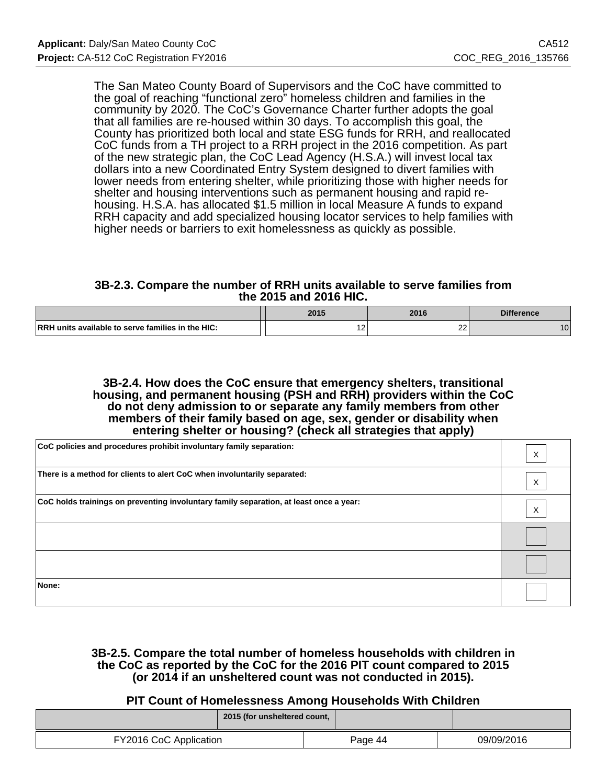The San Mateo County Board of Supervisors and the CoC have committed to the goal of reaching "functional zero" homeless children and families in the community by 2020. The CoC's Governance Charter further adopts the goal that all families are re-housed within 30 days. To accomplish this goal, the County has prioritized both local and state ESG funds for RRH, and reallocated CoC funds from a TH project to a RRH project in the 2016 competition. As part of the new strategic plan, the CoC Lead Agency (H.S.A.) will invest local tax dollars into a new Coordinated Entry System designed to divert families with lower needs from entering shelter, while prioritizing those with higher needs for shelter and housing interventions such as permanent housing and rapid rehousing. H.S.A. has allocated \$1.5 million in local Measure A funds to expand RRH capacity and add specialized housing locator services to help families with higher needs or barriers to exit homelessness as quickly as possible.

### **3B-2.3. Compare the number of RRH units available to serve families from the 2015 and 2016 HIC.**

|                                                          | 2015       | 2016                | <b>Difference</b> |
|----------------------------------------------------------|------------|---------------------|-------------------|
| <b>RRH</b> units available to serve families in the HIC: | $\epsilon$ | $\sim$<br><u>__</u> |                   |

#### **3B-2.4. How does the CoC ensure that emergency shelters, transitional housing, and permanent housing (PSH and RRH) providers within the CoC do not deny admission to or separate any family members from other members of their family based on age, sex, gender or disability when entering shelter or housing? (check all strategies that apply)**

| CoC policies and procedures prohibit involuntary family separation:                    | X                 |
|----------------------------------------------------------------------------------------|-------------------|
| There is a method for clients to alert CoC when involuntarily separated:               | X                 |
| CoC holds trainings on preventing involuntary family separation, at least once a year: | $\checkmark$<br>∧ |
|                                                                                        |                   |
|                                                                                        |                   |
| None:                                                                                  |                   |

### **3B-2.5. Compare the total number of homeless households with children in the CoC as reported by the CoC for the 2016 PIT count compared to 2015 (or 2014 if an unsheltered count was not conducted in 2015).**

# **PIT Count of Homelessness Among Households With Children**

|                        | 2015 (for unsheltered count, |         |            |
|------------------------|------------------------------|---------|------------|
| FY2016 CoC Application |                              | Page 44 | 09/09/2016 |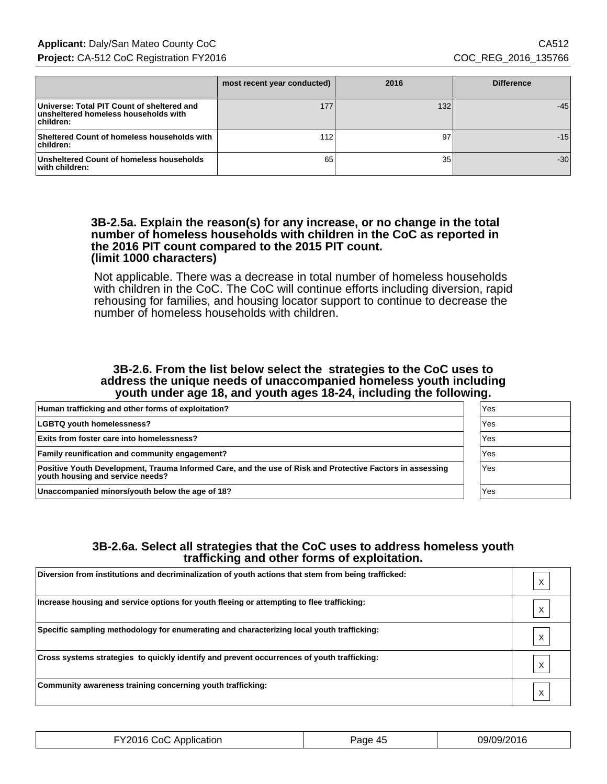|                                                                                                 | most recent year conducted) | 2016 | <b>Difference</b> |
|-------------------------------------------------------------------------------------------------|-----------------------------|------|-------------------|
| Universe: Total PIT Count of sheltered and<br>unsheltered homeless households with<br>children: | 177                         | 132  | $-45$             |
| Sheltered Count of homeless households with<br>children:                                        | 112                         | 97   | $-15$             |
| Unsheltered Count of homeless households<br>with children:                                      | 65                          | 35   | $-30$             |

#### **3B-2.5a. Explain the reason(s) for any increase, or no change in the total number of homeless households with children in the CoC as reported in the 2016 PIT count compared to the 2015 PIT count. (limit 1000 characters)**

Not applicable. There was a decrease in total number of homeless households with children in the CoC. The CoC will continue efforts including diversion, rapid rehousing for families, and housing locator support to continue to decrease the number of homeless households with children.

#### **3B-2.6. From the list below select the strategies to the CoC uses to address the unique needs of unaccompanied homeless youth including youth under age 18, and youth ages 18-24, including the following.**

| Human trafficking and other forms of exploitation?                                                                                            | Yes |
|-----------------------------------------------------------------------------------------------------------------------------------------------|-----|
| <b>LGBTQ youth homelessness?</b>                                                                                                              | Yes |
| <b>Exits from foster care into homelessness?</b>                                                                                              | Yes |
| <b>Family reunification and community engagement?</b>                                                                                         | Yes |
| Positive Youth Development, Trauma Informed Care, and the use of Risk and Protective Factors in assessing<br>vouth housing and service needs? | Yes |
| Unaccompanied minors/youth below the age of 18?                                                                                               | Yes |

# **3B-2.6a. Select all strategies that the CoC uses to address homeless youth trafficking and other forms of exploitation.**

| Diversion from institutions and decriminalization of youth actions that stem from being trafficked: |  |
|-----------------------------------------------------------------------------------------------------|--|
| Increase housing and service options for youth fleeing or attempting to flee trafficking:           |  |
| Specific sampling methodology for enumerating and characterizing local youth trafficking:           |  |
| Cross systems strategies to quickly identify and prevent occurrences of youth trafficking:          |  |
| Community awareness training concerning youth trafficking:                                          |  |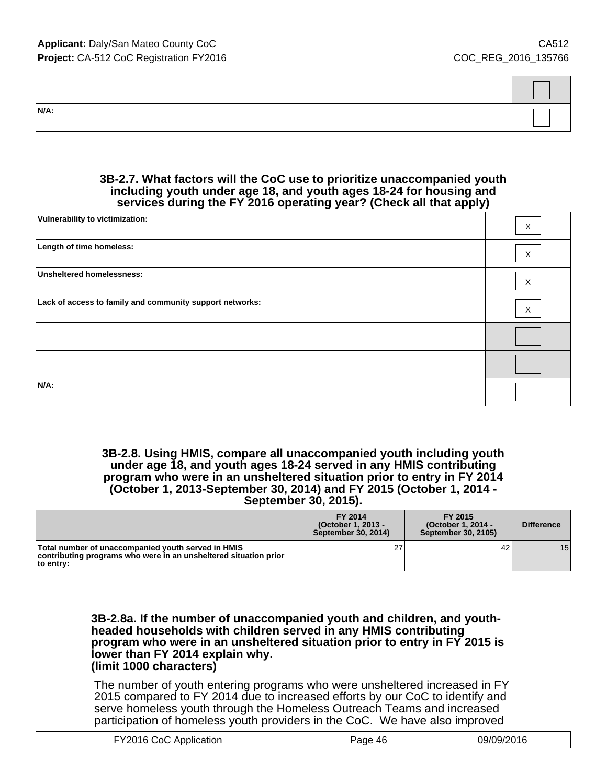| N/A: |  |
|------|--|

#### **3B-2.7. What factors will the CoC use to prioritize unaccompanied youth including youth under age 18, and youth ages 18-24 for housing and services during the FY 2016 operating year? (Check all that apply)**

| Vulnerability to victimization:                          | X |
|----------------------------------------------------------|---|
| Length of time homeless:                                 | X |
| <b>Unsheltered homelessness:</b>                         | X |
| Lack of access to family and community support networks: | X |
|                                                          |   |
|                                                          |   |
| N/A:                                                     |   |

#### **3B-2.8. Using HMIS, compare all unaccompanied youth including youth under age 18, and youth ages 18-24 served in any HMIS contributing program who were in an unsheltered situation prior to entry in FY 2014 (October 1, 2013-September 30, 2014) and FY 2015 (October 1, 2014 - September 30, 2015).**

|                                                                                                                                                   | FY 2014<br>(October 1, 2013 -<br>September 30, 2014) | FY 2015<br>(October 1, 2014 -<br>September 30, 2105) | <b>Difference</b> |
|---------------------------------------------------------------------------------------------------------------------------------------------------|------------------------------------------------------|------------------------------------------------------|-------------------|
| Total number of unaccompanied youth served in HMIS<br>  contributing programs who were in an unsheltered situation prior $\mathbin $<br>to entry: | 27                                                   | 42                                                   | 15 <sup>1</sup>   |

#### **3B-2.8a. If the number of unaccompanied youth and children, and youthheaded households with children served in any HMIS contributing program who were in an unsheltered situation prior to entry in FY 2015 is lower than FY 2014 explain why. (limit 1000 characters)**

The number of youth entering programs who were unsheltered increased in FY 2015 compared to FY 2014 due to increased efforts by our CoC to identify and serve homeless youth through the Homeless Outreach Teams and increased participation of homeless youth providers in the CoC. We have also improved

| FY2016 CoC Application | Page 46 | 09/09/2016 |
|------------------------|---------|------------|
|------------------------|---------|------------|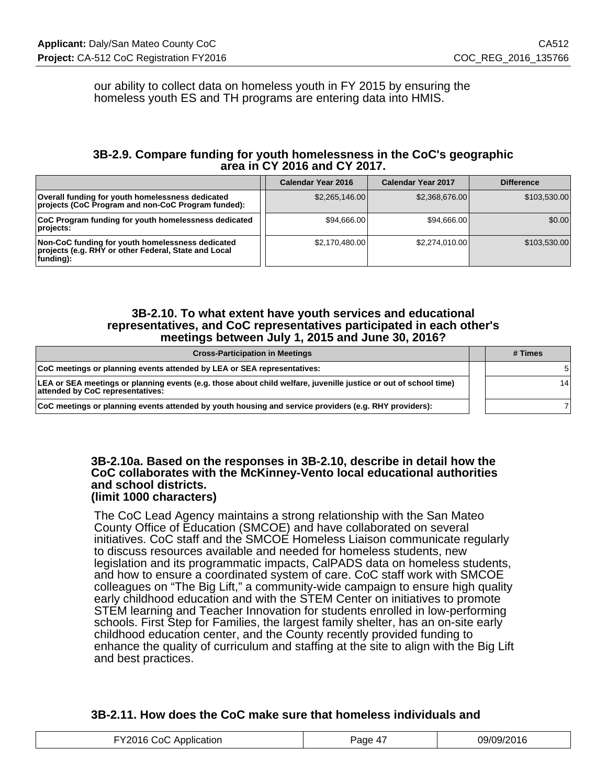our ability to collect data on homeless youth in FY 2015 by ensuring the homeless youth ES and TH programs are entering data into HMIS.

## **3B-2.9. Compare funding for youth homelessness in the CoC's geographic area in CY 2016 and CY 2017.**

|                                                                                                                       | Calendar Year 2016 | <b>Calendar Year 2017</b> | <b>Difference</b> |
|-----------------------------------------------------------------------------------------------------------------------|--------------------|---------------------------|-------------------|
| Overall funding for youth homelessness dedicated<br>projects (CoC Program and non-CoC Program funded):                | \$2,265,146.00     | \$2,368,676.00            | \$103,530.00      |
| CoC Program funding for youth homelessness dedicated<br>projects:                                                     | \$94,666,00        | \$94.666.00               | \$0.00            |
| Non-CoC funding for youth homelessness dedicated<br>projects (e.g. RHY or other Federal, State and Local<br>funding): | \$2,170,480.00     | \$2.274.010.00            | \$103,530.00      |

#### **3B-2.10. To what extent have youth services and educational representatives, and CoC representatives participated in each other's meetings between July 1, 2015 and June 30, 2016?**

| <b>Cross-Participation in Meetings</b>                                                                                                               | # Times |
|------------------------------------------------------------------------------------------------------------------------------------------------------|---------|
| CoC meetings or planning events attended by LEA or SEA representatives:                                                                              |         |
| LEA or SEA meetings or planning events (e.g. those about child welfare, juvenille justice or out of school time)<br>attended by CoC representatives: | 14      |
| CoC meetings or planning events attended by youth housing and service providers (e.g. RHY providers):                                                |         |

#### **3B-2.10a. Based on the responses in 3B-2.10, describe in detail how the CoC collaborates with the McKinney-Vento local educational authorities and school districts. (limit 1000 characters)**

The CoC Lead Agency maintains a strong relationship with the San Mateo County Office of Education (SMCOE) and have collaborated on several initiatives. CoC staff and the SMCOE Homeless Liaison communicate regularly to discuss resources available and needed for homeless students, new legislation and its programmatic impacts, CalPADS data on homeless students, and how to ensure a coordinated system of care. CoC staff work with SMCOE colleagues on "The Big Lift," a community-wide campaign to ensure high quality early childhood education and with the STEM Center on initiatives to promote STEM learning and Teacher Innovation for students enrolled in low-performing schools. First Step for Families, the largest family shelter, has an on-site early childhood education center, and the County recently provided funding to enhance the quality of curriculum and staffing at the site to align with the Big Lift and best practices.

# **3B-2.11. How does the CoC make sure that homeless individuals and**

| ്റി<br>. ADDIIC'<br>sation.<br>. <del>. .</del><br>. <del>.</del> | ан | 1471<br>$1.91 \times$<br>1 U |
|-------------------------------------------------------------------|----|------------------------------|
|-------------------------------------------------------------------|----|------------------------------|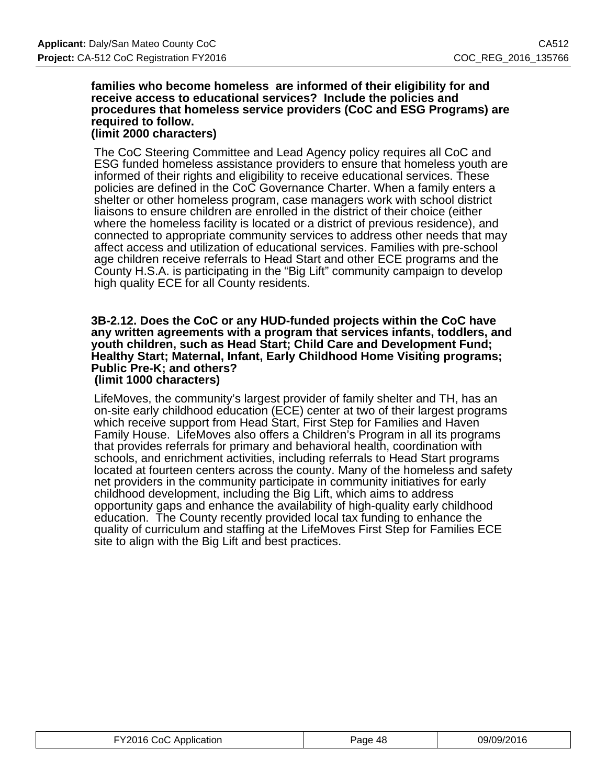#### **families who become homeless are informed of their eligibility for and receive access to educational services? Include the policies and procedures that homeless service providers (CoC and ESG Programs) are required to follow. (limit 2000 characters)**

The CoC Steering Committee and Lead Agency policy requires all CoC and ESG funded homeless assistance providers to ensure that homeless youth are informed of their rights and eligibility to receive educational services. These policies are defined in the CoC Governance Charter. When a family enters a shelter or other homeless program, case managers work with school district liaisons to ensure children are enrolled in the district of their choice (either where the homeless facility is located or a district of previous residence), and connected to appropriate community services to address other needs that may affect access and utilization of educational services. Families with pre-school age children receive referrals to Head Start and other ECE programs and the County H.S.A. is participating in the "Big Lift" community campaign to develop high quality ECE for all County residents.

#### **3B-2.12. Does the CoC or any HUD-funded projects within the CoC have any written agreements with a program that services infants, toddlers, and youth children, such as Head Start; Child Care and Development Fund; Healthy Start; Maternal, Infant, Early Childhood Home Visiting programs; Public Pre-K; and others? (limit 1000 characters)**

LifeMoves, the community's largest provider of family shelter and TH, has an on-site early childhood education (ECE) center at two of their largest programs which receive support from Head Start, First Step for Families and Haven Family House. LifeMoves also offers a Children's Program in all its programs that provides referrals for primary and behavioral health, coordination with schools, and enrichment activities, including referrals to Head Start programs located at fourteen centers across the county. Many of the homeless and safety net providers in the community participate in community initiatives for early childhood development, including the Big Lift, which aims to address opportunity gaps and enhance the availability of high-quality early childhood education. The County recently provided local tax funding to enhance the quality of curriculum and staffing at the LifeMoves First Step for Families ECE site to align with the Big Lift and best practices.

| FY2016 CoC Application | Page 48 | 09/09/2016 |
|------------------------|---------|------------|
|------------------------|---------|------------|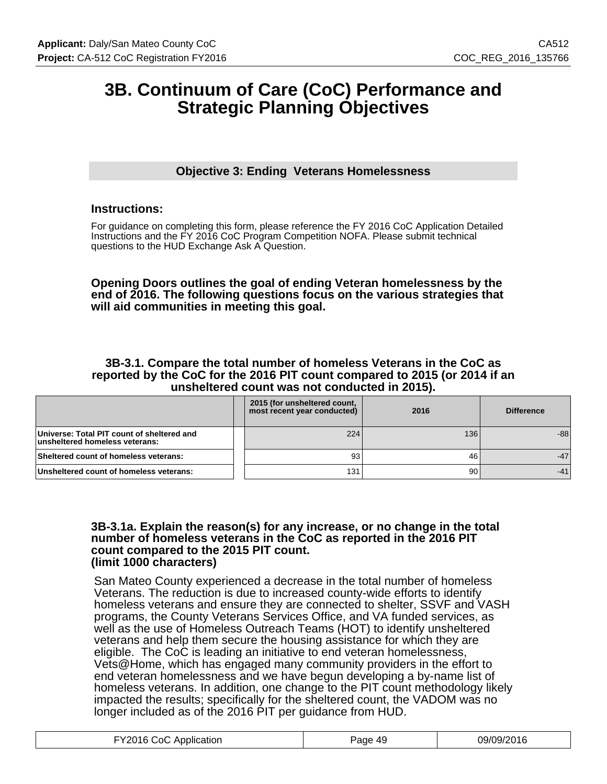# **3B. Continuum of Care (CoC) Performance and Strategic Planning Objectives**

# **Objective 3: Ending Veterans Homelessness**

### **Instructions:**

For guidance on completing this form, please reference the FY 2016 CoC Application Detailed Instructions and the FY 2016 CoC Program Competition NOFA. Please submit technical questions to the HUD Exchange Ask A Question.

#### **Opening Doors outlines the goal of ending Veteran homelessness by the end of 2016. The following questions focus on the various strategies that will aid communities in meeting this goal.**

#### **3B-3.1. Compare the total number of homeless Veterans in the CoC as reported by the CoC for the 2016 PIT count compared to 2015 (or 2014 if an unsheltered count was not conducted in 2015).**

|                                                                              | 2015 (for unsheltered count,<br>most recent year conducted) | 2016 | <b>Difference</b> |
|------------------------------------------------------------------------------|-------------------------------------------------------------|------|-------------------|
| Universe: Total PIT count of sheltered and<br>unsheltered homeless veterans: | 224                                                         | 136  | $-88$             |
| Sheltered count of homeless veterans:                                        | 93                                                          | 46   | $-47$             |
| Unsheltered count of homeless veterans:                                      | 131                                                         | 90   |                   |

#### **3B-3.1a. Explain the reason(s) for any increase, or no change in the total number of homeless veterans in the CoC as reported in the 2016 PIT count compared to the 2015 PIT count. (limit 1000 characters)**

San Mateo County experienced a decrease in the total number of homeless Veterans. The reduction is due to increased county-wide efforts to identify homeless veterans and ensure they are connected to shelter, SSVF and VASH programs, the County Veterans Services Office, and VA funded services, as well as the use of Homeless Outreach Teams (HOT) to identify unsheltered veterans and help them secure the housing assistance for which they are eligible. The CoC is leading an initiative to end veteran homelessness, Vets@Home, which has engaged many community providers in the effort to end veteran homelessness and we have begun developing a by-name list of homeless veterans. In addition, one change to the PIT count methodology likely impacted the results; specifically for the sheltered count, the VADOM was no longer included as of the 2016 PIT per guidance from HUD.

| FY2016 CoC Application | Page 49 | 09/09/2016 |
|------------------------|---------|------------|
|------------------------|---------|------------|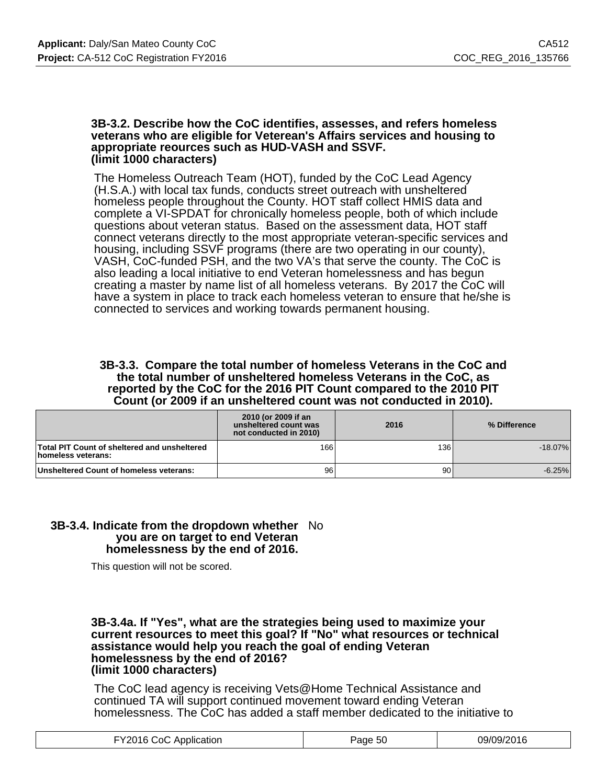#### **3B-3.2. Describe how the CoC identifies, assesses, and refers homeless veterans who are eligible for Veterean's Affairs services and housing to appropriate reources such as HUD-VASH and SSVF. (limit 1000 characters)**

The Homeless Outreach Team (HOT), funded by the CoC Lead Agency (H.S.A.) with local tax funds, conducts street outreach with unsheltered homeless people throughout the County. HOT staff collect HMIS data and complete a VI-SPDAT for chronically homeless people, both of which include questions about veteran status. Based on the assessment data, HOT staff connect veterans directly to the most appropriate veteran-specific services and housing, including SSVF programs (there are two operating in our county), VASH, CoC-funded PSH, and the two VA's that serve the county. The CoC is also leading a local initiative to end Veteran homelessness and has begun creating a master by name list of all homeless veterans. By 2017 the CoC will have a system in place to track each homeless veteran to ensure that he/she is connected to services and working towards permanent housing.

#### **3B-3.3. Compare the total number of homeless Veterans in the CoC and the total number of unsheltered homeless Veterans in the CoC, as reported by the CoC for the 2016 PIT Count compared to the 2010 PIT Count (or 2009 if an unsheltered count was not conducted in 2010).**

|                                                                    | 2010 (or 2009 if an<br>unsheltered count was<br>not conducted in 2010) | 2016 | % Difference |
|--------------------------------------------------------------------|------------------------------------------------------------------------|------|--------------|
| Total PIT Count of sheltered and unsheltered<br>homeless veterans: | 166                                                                    | 136  | $-18.07\%$   |
| Unsheltered Count of homeless veterans:                            | 96                                                                     | 90   | $-6.25%$     |

#### **3B-3.4. Indicate from the dropdown whether** No **you are on target to end Veteran homelessness by the end of 2016.**

This question will not be scored.

#### **3B-3.4a. If "Yes", what are the strategies being used to maximize your current resources to meet this goal? If "No" what resources or technical assistance would help you reach the goal of ending Veteran homelessness by the end of 2016? (limit 1000 characters)**

The CoC lead agency is receiving Vets@Home Technical Assistance and continued TA will support continued movement toward ending Veteran homelessness. The CoC has added a staff member dedicated to the initiative to

| FY2016 CoC Application | $\sim$<br>Page 50 | 09/09/2016 |
|------------------------|-------------------|------------|
|                        |                   |            |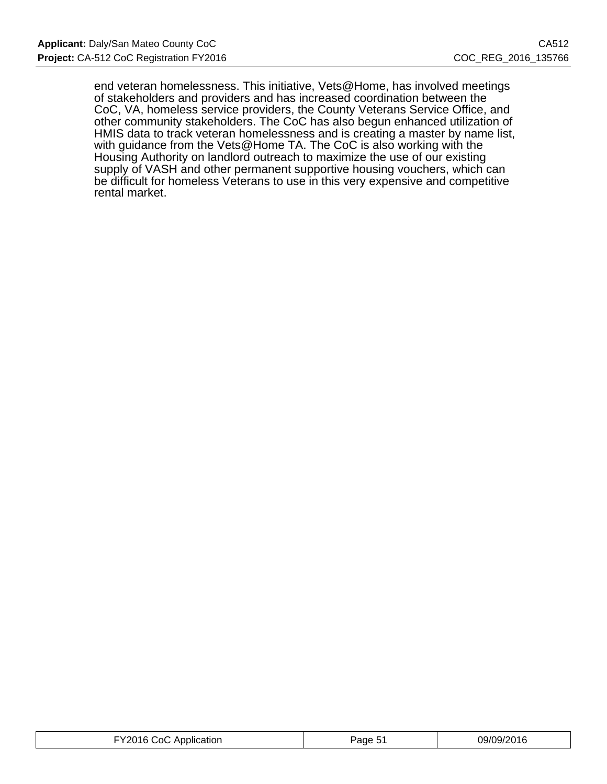end veteran homelessness. This initiative, Vets@Home, has involved meetings of stakeholders and providers and has increased coordination between the CoC, VA, homeless service providers, the County Veterans Service Office, and other community stakeholders. The CoC has also begun enhanced utilization of HMIS data to track veteran homelessness and is creating a master by name list, with guidance from the Vets@Home TA. The CoC is also working with the Housing Authority on landlord outreach to maximize the use of our existing supply of VASH and other permanent supportive housing vouchers, which can be difficult for homeless Veterans to use in this very expensive and competitive rental market.

| -Y2016.<br>ാറി<br>Application | Page<br>◡ | 09/09/2016 |
|-------------------------------|-----------|------------|
|-------------------------------|-----------|------------|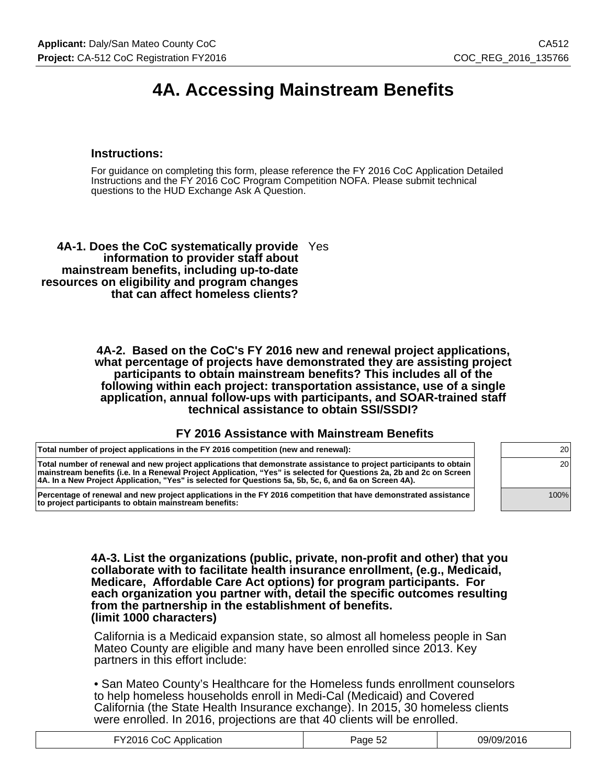# **4A. Accessing Mainstream Benefits**

### **Instructions:**

For guidance on completing this form, please reference the FY 2016 CoC Application Detailed Instructions and the FY 2016 CoC Program Competition NOFA. Please submit technical questions to the HUD Exchange Ask A Question.

**4A-1. Does the CoC systematically provide** Yes **information to provider staff about mainstream benefits, including up-to-date resources on eligibility and program changes that can affect homeless clients?**

> **4A-2. Based on the CoC's FY 2016 new and renewal project applications, what percentage of projects have demonstrated they are assisting project participants to obtain mainstream benefits? This includes all of the following within each project: transportation assistance, use of a single application, annual follow-ups with participants, and SOAR-trained staff technical assistance to obtain SSI/SSDI?**

#### **FY 2016 Assistance with Mainstream Benefits**

| Total number of project applications in the FY 2016 competition (new and renewal):                                                                                                                                                                                                                                                                   | 20   |  |
|------------------------------------------------------------------------------------------------------------------------------------------------------------------------------------------------------------------------------------------------------------------------------------------------------------------------------------------------------|------|--|
| Total number of renewal and new project applications that demonstrate assistance to project participants to obtain<br>mainstream benefits (i.e. In a Renewal Project Application, "Yes" is selected for Questions 2a, 2b and 2c on Screen<br> 4A. In a New Project Application, "Yes" is selected for Questions 5a, 5b, 5c, 6, and 6a on Screen 4A). | 20   |  |
| Percentage of renewal and new project applications in the FY 2016 competition that have demonstrated assistance<br>to project participants to obtain mainstream benefits:                                                                                                                                                                            | 100% |  |

**4A-3. List the organizations (public, private, non-profit and other) that you collaborate with to facilitate health insurance enrollment, (e.g., Medicaid, Medicare, Affordable Care Act options) for program participants. For each organization you partner with, detail the specific outcomes resulting from the partnership in the establishment of benefits. (limit 1000 characters)**

California is a Medicaid expansion state, so almost all homeless people in San Mateo County are eligible and many have been enrolled since 2013. Key partners in this effort include:

• San Mateo County's Healthcare for the Homeless funds enrollment counselors to help homeless households enroll in Medi-Cal (Medicaid) and Covered California (the State Health Insurance exchange). In 2015, 30 homeless clients were enrolled. In 2016, projections are that 40 clients will be enrolled.

| FY2016 CoC Application | Page 52 | 09/09/2016 |
|------------------------|---------|------------|
|------------------------|---------|------------|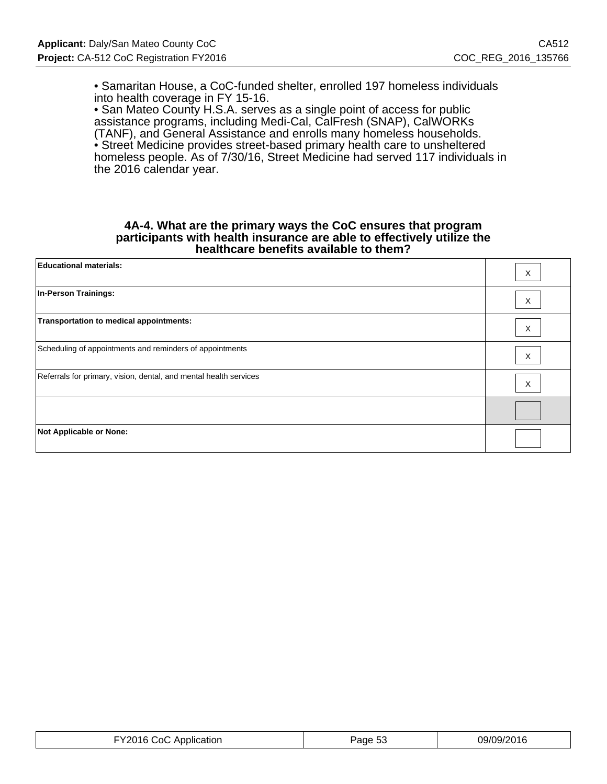• Samaritan House, a CoC-funded shelter, enrolled 197 homeless individuals into health coverage in FY 15-16.

• San Mateo County H.S.A. serves as a single point of access for public assistance programs, including Medi-Cal, CalFresh (SNAP), CalWORKs (TANF), and General Assistance and enrolls many homeless households. • Street Medicine provides street-based primary health care to unsheltered homeless people. As of 7/30/16, Street Medicine had served 117 individuals in the 2016 calendar year.

#### **4A-4. What are the primary ways the CoC ensures that program participants with health insurance are able to effectively utilize the healthcare benefits available to them?**

| <b>Educational materials:</b>                                     | Χ |
|-------------------------------------------------------------------|---|
| <b>In-Person Trainings:</b>                                       | X |
| Transportation to medical appointments:                           | X |
| Scheduling of appointments and reminders of appointments          | X |
| Referrals for primary, vision, dental, and mental health services | X |
|                                                                   |   |
| <b>Not Applicable or None:</b>                                    |   |

| FY2016 CoC Application | Page 53 | 09/09/2016 |
|------------------------|---------|------------|
|------------------------|---------|------------|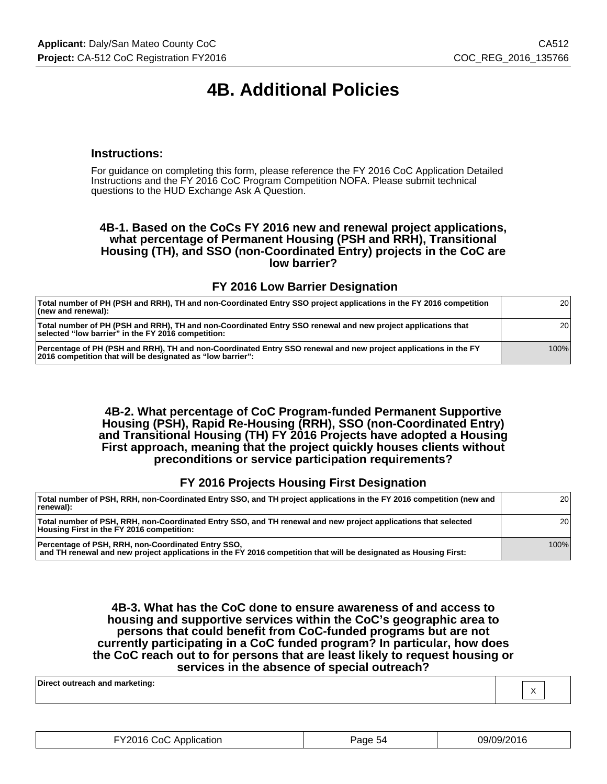# **4B. Additional Policies**

#### **Instructions:**

For guidance on completing this form, please reference the FY 2016 CoC Application Detailed Instructions and the FY 2016 CoC Program Competition NOFA. Please submit technical questions to the HUD Exchange Ask A Question.

#### **4B-1. Based on the CoCs FY 2016 new and renewal project applications, what percentage of Permanent Housing (PSH and RRH), Transitional Housing (TH), and SSO (non-Coordinated Entry) projects in the CoC are low barrier?**

#### **FY 2016 Low Barrier Designation**

| Total number of PH (PSH and RRH), TH and non-Coordinated Entry SSO project applications in the FY 2016 competition<br>$ $ (new and renewal):                                  | 20 <sup>1</sup> |
|-------------------------------------------------------------------------------------------------------------------------------------------------------------------------------|-----------------|
| Total number of PH (PSH and RRH), TH and non-Coordinated Entry SSO renewal and new project applications that<br>selected "low barrier" in the FY 2016 competition:            | 20 <sub>1</sub> |
| Percentage of PH (PSH and RRH), TH and non-Coordinated Entry SSO renewal and new project applications in the FY<br>2016 competition that will be designated as "low barrier": | 100%            |

**4B-2. What percentage of CoC Program-funded Permanent Supportive Housing (PSH), Rapid Re-Housing (RRH), SSO (non-Coordinated Entry) and Transitional Housing (TH) FY 2016 Projects have adopted a Housing First approach, meaning that the project quickly houses clients without preconditions or service participation requirements?**

#### **FY 2016 Projects Housing First Designation**

| Total number of PSH, RRH, non-Coordinated Entry SSO, and TH project applications in the FY 2016 competition (new and<br>renewal):                                      | 20 <sub>1</sub> |
|------------------------------------------------------------------------------------------------------------------------------------------------------------------------|-----------------|
| Total number of PSH, RRH, non-Coordinated Entry SSO, and TH renewal and new project applications that selected<br>Housing First in the FY 2016 competition:            | 20 <sub>1</sub> |
| Percentage of PSH, RRH, non-Coordinated Entry SSO,<br>and TH renewal and new project applications in the FY 2016 competition that will be designated as Housing First: | 100%            |

**4B-3. What has the CoC done to ensure awareness of and access to housing and supportive services within the CoC's geographic area to persons that could benefit from CoC-funded programs but are not currently participating in a CoC funded program? In particular, how does the CoC reach out to for persons that are least likely to request housing or services in the absence of special outreach?**

X

| FY2016 CoC Application | Page 54 | 09/09/2016 |
|------------------------|---------|------------|
|                        |         |            |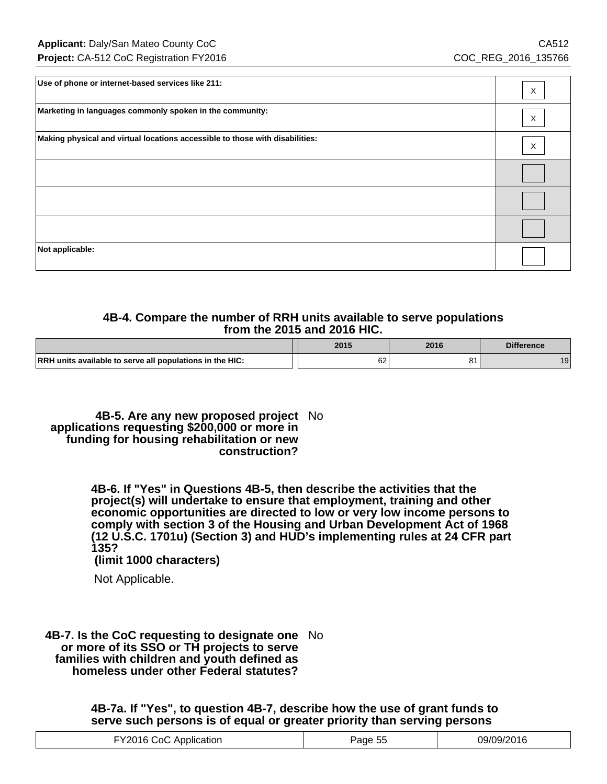| Use of phone or internet-based services like 211:                            | X |
|------------------------------------------------------------------------------|---|
| Marketing in languages commonly spoken in the community:                     | Χ |
| Making physical and virtual locations accessible to those with disabilities: | X |
|                                                                              |   |
|                                                                              |   |
|                                                                              |   |
| Not applicable:                                                              |   |

# **4B-4. Compare the number of RRH units available to serve populations from the 2015 and 2016 HIC.**

|                                                          | 2015 | 2016 | <b>Difference</b> |
|----------------------------------------------------------|------|------|-------------------|
| RRH units available to serve all populations in the HIC: | 62   |      | ۱۵                |

**4B-5. Are any new proposed project** No **applications requesting \$200,000 or more in funding for housing rehabilitation or new construction?**

> **4B-6. If "Yes" in Questions 4B-5, then describe the activities that the project(s) will undertake to ensure that employment, training and other economic opportunities are directed to low or very low income persons to comply with section 3 of the Housing and Urban Development Act of 1968 (12 U.S.C. 1701u) (Section 3) and HUD's implementing rules at 24 CFR part 135?**

 **(limit 1000 characters)**

Not Applicable.

**4B-7. Is the CoC requesting to designate one** No **or more of its SSO or TH projects to serve families with children and youth defined as homeless under other Federal statutes?**

> **4B-7a. If "Yes", to question 4B-7, describe how the use of grant funds to serve such persons is of equal or greater priority than serving persons**

| TY2016 CoC Application | Page 55 $^{\circ}$ | 09/09/2016 |
|------------------------|--------------------|------------|
|------------------------|--------------------|------------|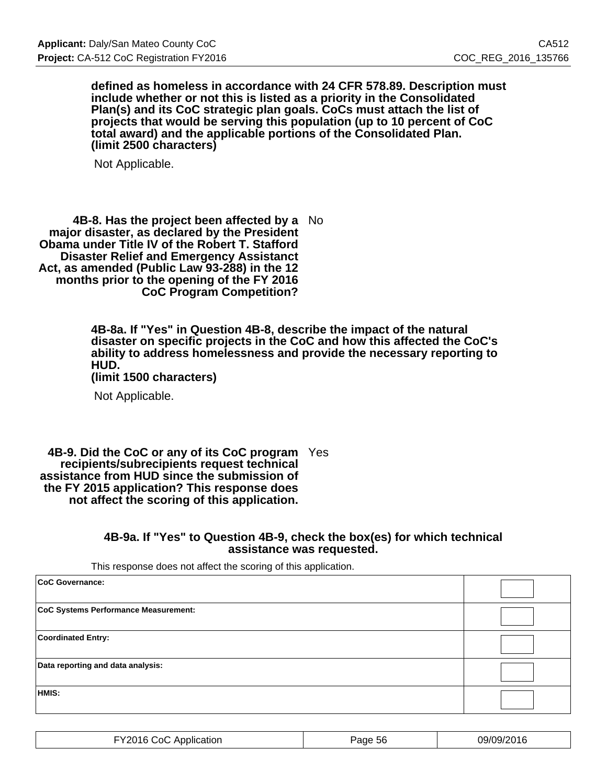**defined as homeless in accordance with 24 CFR 578.89. Description must include whether or not this is listed as a priority in the Consolidated Plan(s) and its CoC strategic plan goals. CoCs must attach the list of projects that would be serving this population (up to 10 percent of CoC total award) and the applicable portions of the Consolidated Plan. (limit 2500 characters)**

Not Applicable.

**4B-8. Has the project been affected by a** No **major disaster, as declared by the President Obama under Title IV of the Robert T. Stafford Disaster Relief and Emergency Assistanct Act, as amended (Public Law 93-288) in the 12 months prior to the opening of the FY 2016 CoC Program Competition?**

> **4B-8a. If "Yes" in Question 4B-8, describe the impact of the natural disaster on specific projects in the CoC and how this affected the CoC's ability to address homelessness and provide the necessary reporting to HUD.**

**(limit 1500 characters)**

Not Applicable.

**4B-9. Did the CoC or any of its CoC program** Yes **recipients/subrecipients request technical assistance from HUD since the submission of the FY 2015 application? This response does not affect the scoring of this application.**

#### **4B-9a. If "Yes" to Question 4B-9, check the box(es) for which technical assistance was requested.**

This response does not affect the scoring of this application.

| CoC Governance:                      |  |
|--------------------------------------|--|
| CoC Systems Performance Measurement: |  |
| <b>Coordinated Entry:</b>            |  |
| Data reporting and data analysis:    |  |
| HMIS:                                |  |

| <br>Y2016.<br>∵ດ( .<br>: Application | Page<br>.56 | 09/09/2016 |
|--------------------------------------|-------------|------------|
|--------------------------------------|-------------|------------|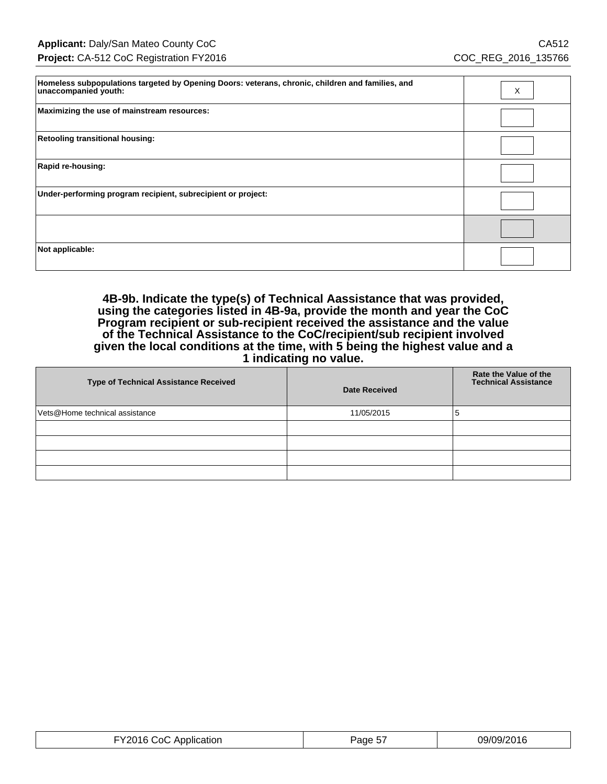| Homeless subpopulations targeted by Opening Doors: veterans, chronic, children and families, and<br>unaccompanied youth: | X |
|--------------------------------------------------------------------------------------------------------------------------|---|
| Maximizing the use of mainstream resources:                                                                              |   |
| <b>Retooling transitional housing:</b>                                                                                   |   |
| Rapid re-housing:                                                                                                        |   |
| Under-performing program recipient, subrecipient or project:                                                             |   |
|                                                                                                                          |   |
| Not applicable:                                                                                                          |   |

**4B-9b. Indicate the type(s) of Technical Aassistance that was provided, using the categories listed in 4B-9a, provide the month and year the CoC Program recipient or sub-recipient received the assistance and the value of the Technical Assistance to the CoC/recipient/sub recipient involved given the local conditions at the time, with 5 being the highest value and a 1 indicating no value.**

| <b>Type of Technical Assistance Received</b> | <b>Date Received</b> | Rate the Value of the<br><b>Technical Assistance</b> |
|----------------------------------------------|----------------------|------------------------------------------------------|
| Vets@Home technical assistance               | 11/05/2015           | C                                                    |
|                                              |                      |                                                      |
|                                              |                      |                                                      |
|                                              |                      |                                                      |
|                                              |                      |                                                      |

| . VON16<br>ാറ<br>Application<br>$\cdots$ | $ -$<br>Page 5.<br><u>UJIZU IU</u> |  |
|------------------------------------------|------------------------------------|--|
|------------------------------------------|------------------------------------|--|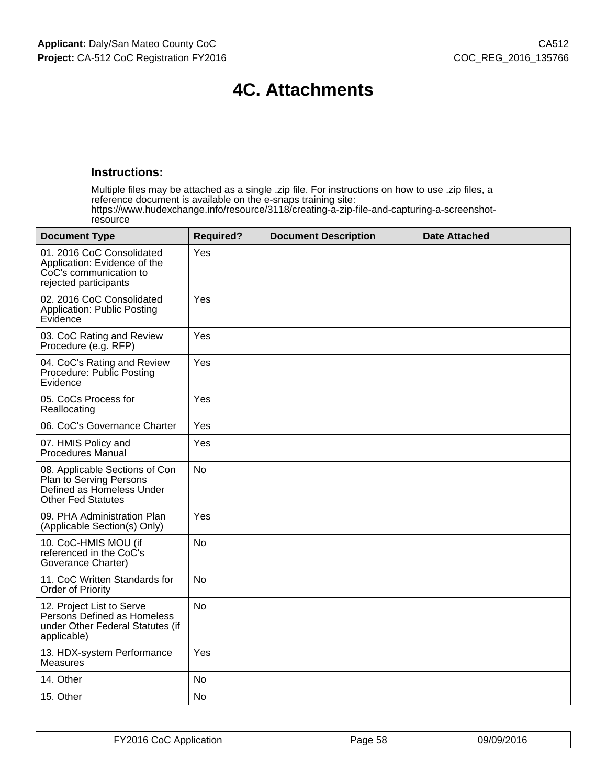# **4C. Attachments**

## **Instructions:**

Multiple files may be attached as a single .zip file. For instructions on how to use .zip files, a reference document is available on the e-snaps training site: https://www.hudexchange.info/resource/3118/creating-a-zip-file-and-capturing-a-screenshotresource

| <b>Document Type</b>                                                                                                | <b>Required?</b> | <b>Document Description</b> | <b>Date Attached</b> |
|---------------------------------------------------------------------------------------------------------------------|------------------|-----------------------------|----------------------|
| 01. 2016 CoC Consolidated<br>Application: Evidence of the<br>CoC's communication to<br>rejected participants        | Yes              |                             |                      |
| 02. 2016 CoC Consolidated<br><b>Application: Public Posting</b><br>Evidence                                         | Yes              |                             |                      |
| 03. CoC Rating and Review<br>Procedure (e.g. RFP)                                                                   | Yes              |                             |                      |
| 04. CoC's Rating and Review<br>Procedure: Public Posting<br>Evidence                                                | Yes              |                             |                      |
| 05. CoCs Process for<br>Reallocating                                                                                | Yes              |                             |                      |
| 06. CoC's Governance Charter                                                                                        | Yes              |                             |                      |
| 07. HMIS Policy and<br><b>Procedures Manual</b>                                                                     | Yes              |                             |                      |
| 08. Applicable Sections of Con<br>Plan to Serving Persons<br>Defined as Homeless Under<br><b>Other Fed Statutes</b> | <b>No</b>        |                             |                      |
| 09. PHA Administration Plan<br>(Applicable Section(s) Only)                                                         | Yes              |                             |                      |
| 10. CoC-HMIS MOU (if<br>referenced in the CoC's<br>Goverance Charter)                                               | <b>No</b>        |                             |                      |
| 11. CoC Written Standards for<br><b>Order of Priority</b>                                                           | <b>No</b>        |                             |                      |
| 12. Project List to Serve<br>Person's Defined as Homeless<br>under Other Federal Statutes (if<br>applicable)        | No               |                             |                      |
| 13. HDX-system Performance<br><b>Measures</b>                                                                       | Yes              |                             |                      |
| 14. Other                                                                                                           | <b>No</b>        |                             |                      |
| 15. Other                                                                                                           | <b>No</b>        |                             |                      |

| FY2016 CoC Application | Page 58 | 09/09/2016 |
|------------------------|---------|------------|
|------------------------|---------|------------|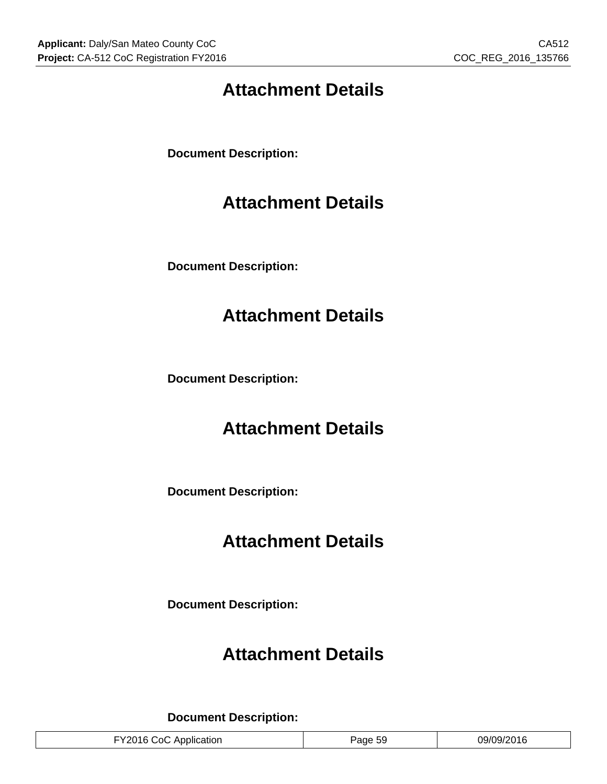# **Attachment Details**

**Document Description:**

# **Attachment Details**

**Document Description:**

# **Attachment Details**

**Document Description:**

# **Attachment Details**

**Document Description:**

# **Attachment Details**

**Document Description:**

# **Attachment Details**

**Document Description:**

| 09/09/2016<br>Page 59<br>FY2016 CoC Application |
|-------------------------------------------------|
|-------------------------------------------------|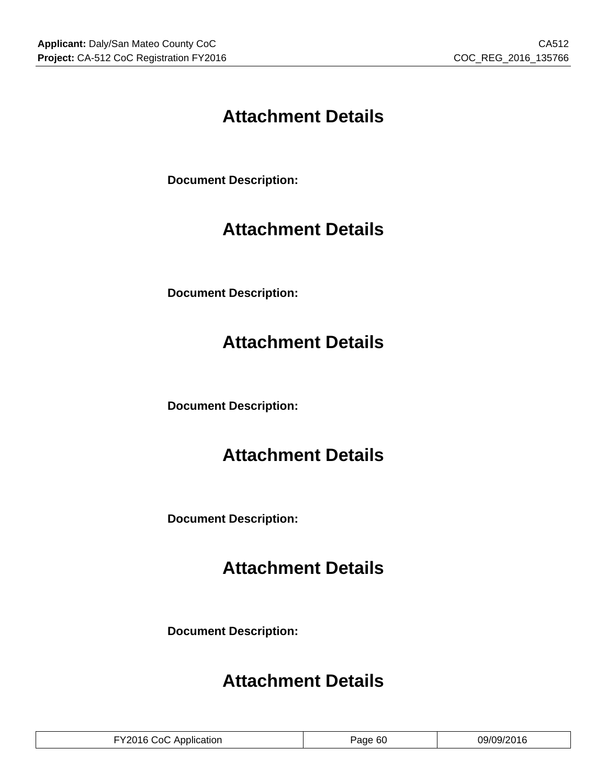# **Attachment Details**

**Document Description:**

# **Attachment Details**

**Document Description:**

# **Attachment Details**

**Document Description:**

# **Attachment Details**

**Document Description:**

# **Attachment Details**

**Document Description:**

# **Attachment Details**

| FY2016 CoC Application | Page 60 | 09/09/2016 |
|------------------------|---------|------------|
|------------------------|---------|------------|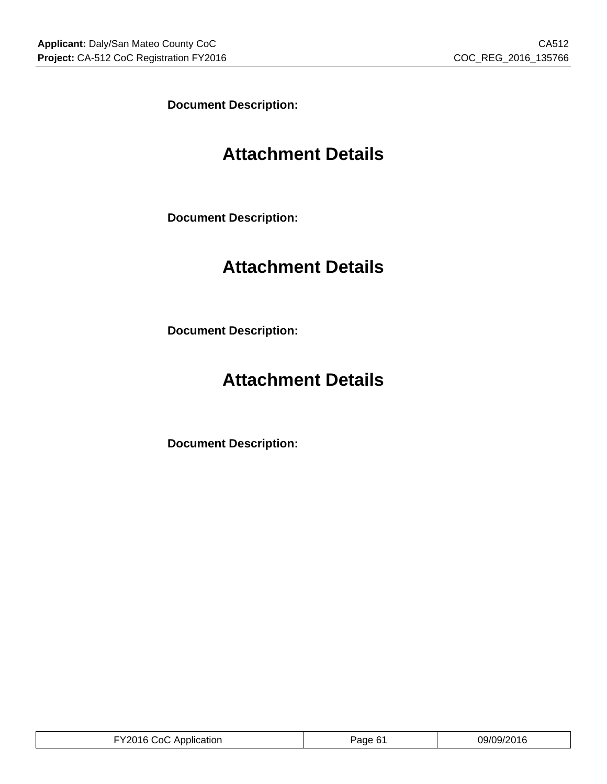**Document Description:**

# **Attachment Details**

**Document Description:**

# **Attachment Details**

**Document Description:**

# **Attachment Details**

**Document Description:**

| ำเ<br>uor<br>$-111$<br>. | 1 O |
|--------------------------|-----|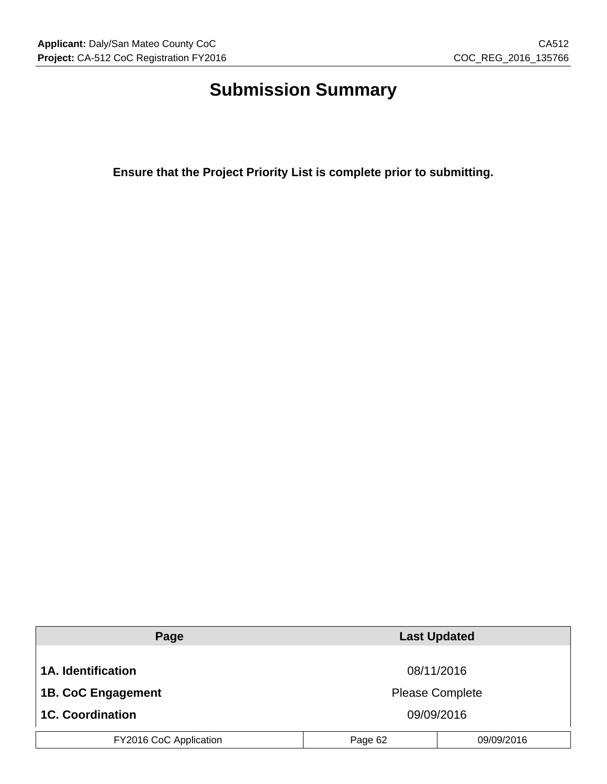# **Submission Summary**

**Ensure that the Project Priority List is complete prior to submitting.**

| Page                      |         | <b>Last Updated</b>    |  |
|---------------------------|---------|------------------------|--|
|                           |         |                        |  |
| <b>1A.</b> Identification |         | 08/11/2016             |  |
| <b>1B. CoC Engagement</b> |         | <b>Please Complete</b> |  |
| <b>1C. Coordination</b>   |         | 09/09/2016             |  |
| FY2016 CoC Application    | Page 62 | 09/09/2016             |  |